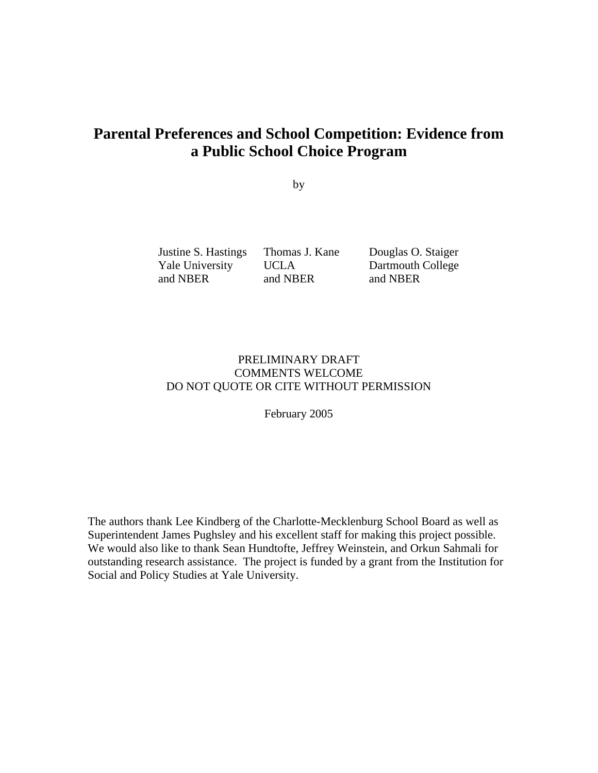# **Parental Preferences and School Competition: Evidence from a Public School Choice Program**

by

Yale University UCLA Dartmouth College and NBER and NBER and NBER

Justine S. Hastings Thomas J. Kane Douglas O. Staiger

## PRELIMINARY DRAFT COMMENTS WELCOME DO NOT QUOTE OR CITE WITHOUT PERMISSION

February 2005

The authors thank Lee Kindberg of the Charlotte-Mecklenburg School Board as well as Superintendent James Pughsley and his excellent staff for making this project possible. We would also like to thank Sean Hundtofte, Jeffrey Weinstein, and Orkun Sahmali for outstanding research assistance. The project is funded by a grant from the Institution for Social and Policy Studies at Yale University.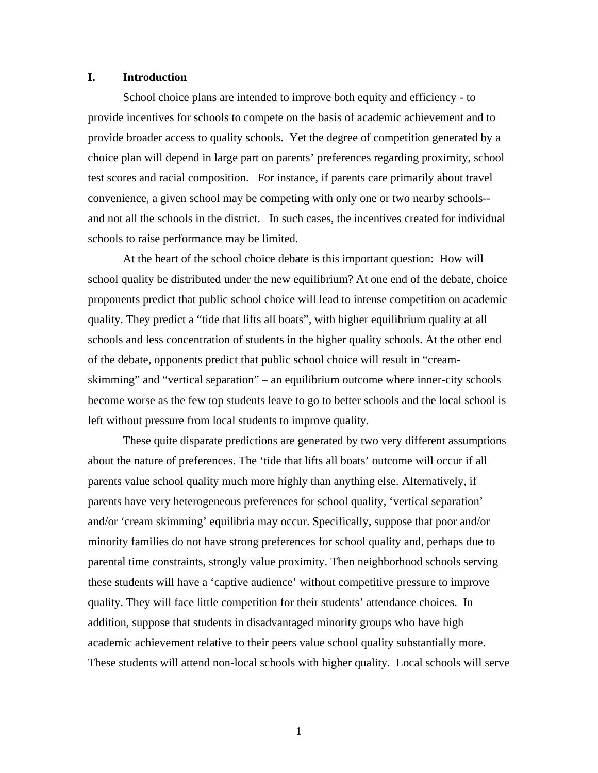## **I. Introduction**

School choice plans are intended to improve both equity and efficiency - to provide incentives for schools to compete on the basis of academic achievement and to provide broader access to quality schools. Yet the degree of competition generated by a choice plan will depend in large part on parents' preferences regarding proximity, school test scores and racial composition. For instance, if parents care primarily about travel convenience, a given school may be competing with only one or two nearby schools- and not all the schools in the district. In such cases, the incentives created for individual schools to raise performance may be limited.

At the heart of the school choice debate is this important question: How will school quality be distributed under the new equilibrium? At one end of the debate, choice proponents predict that public school choice will lead to intense competition on academic quality. They predict a "tide that lifts all boats", with higher equilibrium quality at all schools and less concentration of students in the higher quality schools. At the other end of the debate, opponents predict that public school choice will result in "creamskimming" and "vertical separation" – an equilibrium outcome where inner-city schools become worse as the few top students leave to go to better schools and the local school is left without pressure from local students to improve quality.

These quite disparate predictions are generated by two very different assumptions about the nature of preferences. The 'tide that lifts all boats' outcome will occur if all parents value school quality much more highly than anything else. Alternatively, if parents have very heterogeneous preferences for school quality, 'vertical separation' and/or 'cream skimming' equilibria may occur. Specifically, suppose that poor and/or minority families do not have strong preferences for school quality and, perhaps due to parental time constraints, strongly value proximity. Then neighborhood schools serving these students will have a 'captive audience' without competitive pressure to improve quality. They will face little competition for their students' attendance choices. In addition, suppose that students in disadvantaged minority groups who have high academic achievement relative to their peers value school quality substantially more. These students will attend non-local schools with higher quality. Local schools will serve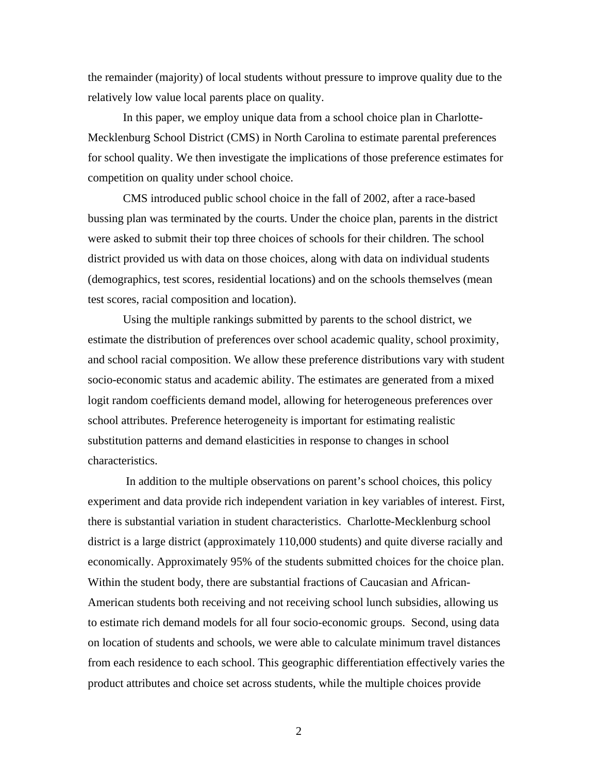the remainder (majority) of local students without pressure to improve quality due to the relatively low value local parents place on quality.

In this paper, we employ unique data from a school choice plan in Charlotte-Mecklenburg School District (CMS) in North Carolina to estimate parental preferences for school quality. We then investigate the implications of those preference estimates for competition on quality under school choice.

CMS introduced public school choice in the fall of 2002, after a race-based bussing plan was terminated by the courts. Under the choice plan, parents in the district were asked to submit their top three choices of schools for their children. The school district provided us with data on those choices, along with data on individual students (demographics, test scores, residential locations) and on the schools themselves (mean test scores, racial composition and location).

Using the multiple rankings submitted by parents to the school district, we estimate the distribution of preferences over school academic quality, school proximity, and school racial composition. We allow these preference distributions vary with student socio-economic status and academic ability. The estimates are generated from a mixed logit random coefficients demand model, allowing for heterogeneous preferences over school attributes. Preference heterogeneity is important for estimating realistic substitution patterns and demand elasticities in response to changes in school characteristics.

 In addition to the multiple observations on parent's school choices, this policy experiment and data provide rich independent variation in key variables of interest. First, there is substantial variation in student characteristics. Charlotte-Mecklenburg school district is a large district (approximately 110,000 students) and quite diverse racially and economically. Approximately 95% of the students submitted choices for the choice plan. Within the student body, there are substantial fractions of Caucasian and African-American students both receiving and not receiving school lunch subsidies, allowing us to estimate rich demand models for all four socio-economic groups. Second, using data on location of students and schools, we were able to calculate minimum travel distances from each residence to each school. This geographic differentiation effectively varies the product attributes and choice set across students, while the multiple choices provide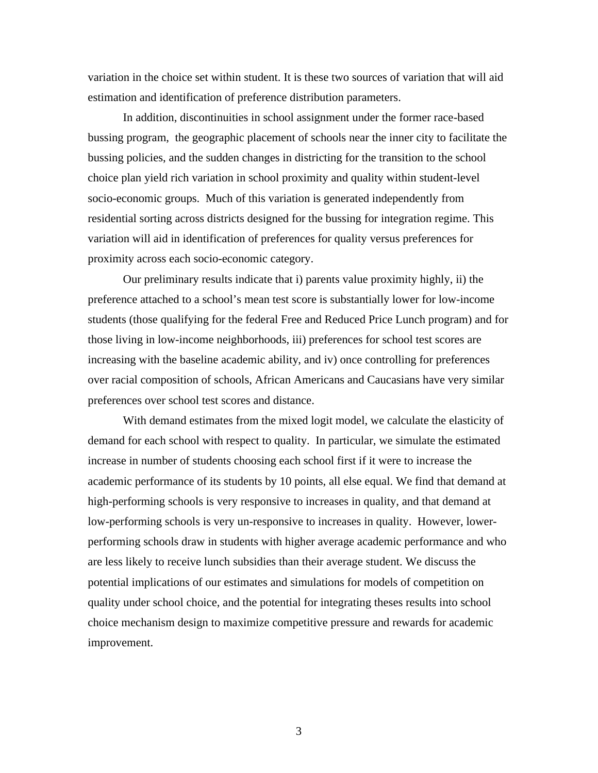variation in the choice set within student. It is these two sources of variation that will aid estimation and identification of preference distribution parameters.

In addition, discontinuities in school assignment under the former race-based bussing program, the geographic placement of schools near the inner city to facilitate the bussing policies, and the sudden changes in districting for the transition to the school choice plan yield rich variation in school proximity and quality within student-level socio-economic groups. Much of this variation is generated independently from residential sorting across districts designed for the bussing for integration regime. This variation will aid in identification of preferences for quality versus preferences for proximity across each socio-economic category.

Our preliminary results indicate that i) parents value proximity highly, ii) the preference attached to a school's mean test score is substantially lower for low-income students (those qualifying for the federal Free and Reduced Price Lunch program) and for those living in low-income neighborhoods, iii) preferences for school test scores are increasing with the baseline academic ability, and iv) once controlling for preferences over racial composition of schools, African Americans and Caucasians have very similar preferences over school test scores and distance.

With demand estimates from the mixed logit model, we calculate the elasticity of demand for each school with respect to quality. In particular, we simulate the estimated increase in number of students choosing each school first if it were to increase the academic performance of its students by 10 points, all else equal. We find that demand at high-performing schools is very responsive to increases in quality, and that demand at low-performing schools is very un-responsive to increases in quality. However, lowerperforming schools draw in students with higher average academic performance and who are less likely to receive lunch subsidies than their average student. We discuss the potential implications of our estimates and simulations for models of competition on quality under school choice, and the potential for integrating theses results into school choice mechanism design to maximize competitive pressure and rewards for academic improvement.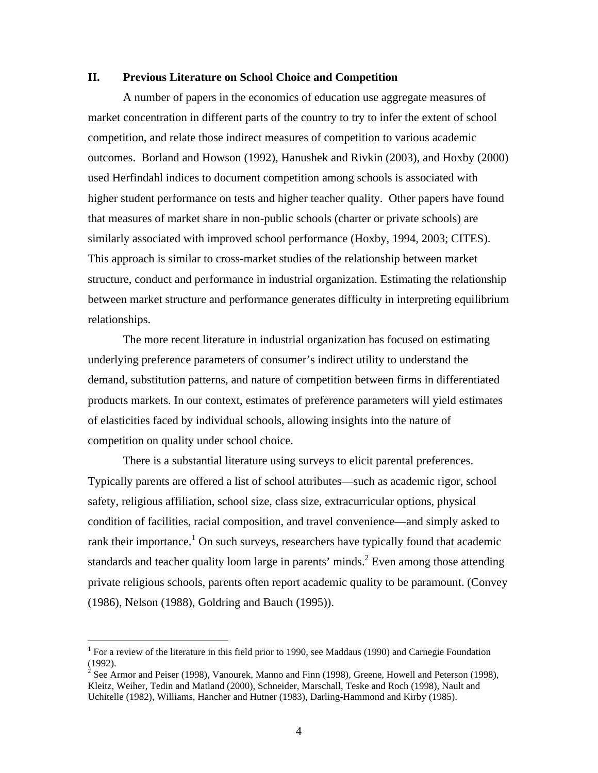#### **II. Previous Literature on School Choice and Competition**

A number of papers in the economics of education use aggregate measures of market concentration in different parts of the country to try to infer the extent of school competition, and relate those indirect measures of competition to various academic outcomes. Borland and Howson (1992), Hanushek and Rivkin (2003), and Hoxby (2000) used Herfindahl indices to document competition among schools is associated with higher student performance on tests and higher teacher quality. Other papers have found that measures of market share in non-public schools (charter or private schools) are similarly associated with improved school performance (Hoxby, 1994, 2003; CITES). This approach is similar to cross-market studies of the relationship between market structure, conduct and performance in industrial organization. Estimating the relationship between market structure and performance generates difficulty in interpreting equilibrium relationships.

The more recent literature in industrial organization has focused on estimating underlying preference parameters of consumer's indirect utility to understand the demand, substitution patterns, and nature of competition between firms in differentiated products markets. In our context, estimates of preference parameters will yield estimates of elasticities faced by individual schools, allowing insights into the nature of competition on quality under school choice.

There is a substantial literature using surveys to elicit parental preferences. Typically parents are offered a list of school attributes—such as academic rigor, school safety, religious affiliation, school size, class size, extracurricular options, physical condition of facilities, racial composition, and travel convenience—and simply asked to rank their importance.<sup>1</sup> On such surveys, researchers have typically found that academic standards and teacher quality loom large in parents' minds.<sup>2</sup> Even among those attending private religious schools, parents often report academic quality to be paramount. (Convey (1986), Nelson (1988), Goldring and Bauch (1995)).

<sup>&</sup>lt;sup>1</sup> For a review of the literature in this field prior to 1990, see Maddaus (1990) and Carnegie Foundation (1992).

<sup>&</sup>lt;sup>2</sup> See Armor and Peiser (1998), Vanourek, Manno and Finn (1998), Greene, Howell and Peterson (1998), Kleitz, Weiher, Tedin and Matland (2000), Schneider, Marschall, Teske and Roch (1998), Nault and Uchitelle (1982), Williams, Hancher and Hutner (1983), Darling-Hammond and Kirby (1985).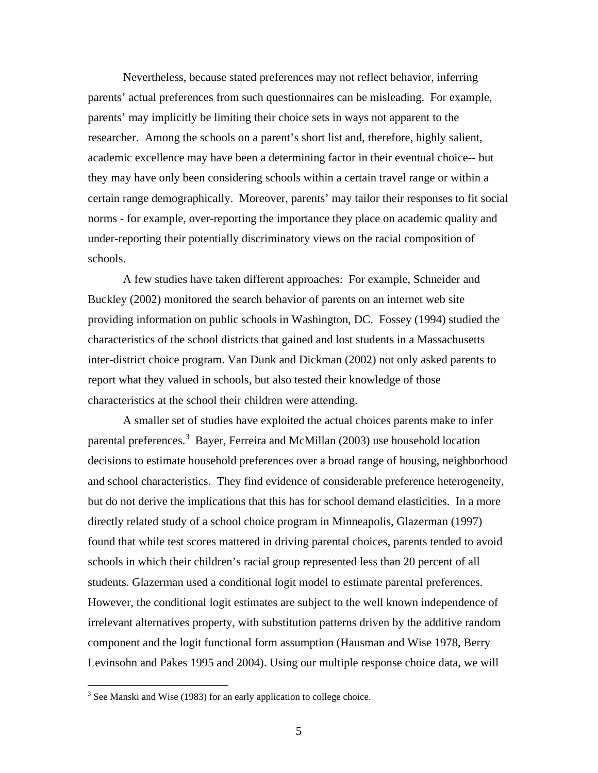Nevertheless, because stated preferences may not reflect behavior, inferring parents' actual preferences from such questionnaires can be misleading. For example, parents' may implicitly be limiting their choice sets in ways not apparent to the researcher. Among the schools on a parent's short list and, therefore, highly salient, academic excellence may have been a determining factor in their eventual choice-- but they may have only been considering schools within a certain travel range or within a certain range demographically. Moreover, parents' may tailor their responses to fit social norms - for example, over-reporting the importance they place on academic quality and under-reporting their potentially discriminatory views on the racial composition of schools.

A few studies have taken different approaches: For example, Schneider and Buckley (2002) monitored the search behavior of parents on an internet web site providing information on public schools in Washington, DC. Fossey (1994) studied the characteristics of the school districts that gained and lost students in a Massachusetts inter-district choice program. Van Dunk and Dickman (2002) not only asked parents to report what they valued in schools, but also tested their knowledge of those characteristics at the school their children were attending.

A smaller set of studies have exploited the actual choices parents make to infer parental preferences.<sup>3</sup> Bayer, Ferreira and McMillan (2003) use household location decisions to estimate household preferences over a broad range of housing, neighborhood and school characteristics. They find evidence of considerable preference heterogeneity, but do not derive the implications that this has for school demand elasticities. In a more directly related study of a school choice program in Minneapolis, Glazerman (1997) found that while test scores mattered in driving parental choices, parents tended to avoid schools in which their children's racial group represented less than 20 percent of all students. Glazerman used a conditional logit model to estimate parental preferences. However, the conditional logit estimates are subject to the well known independence of irrelevant alternatives property, with substitution patterns driven by the additive random component and the logit functional form assumption (Hausman and Wise 1978, Berry Levinsohn and Pakes 1995 and 2004). Using our multiple response choice data, we will

 $3$  See Manski and Wise (1983) for an early application to college choice.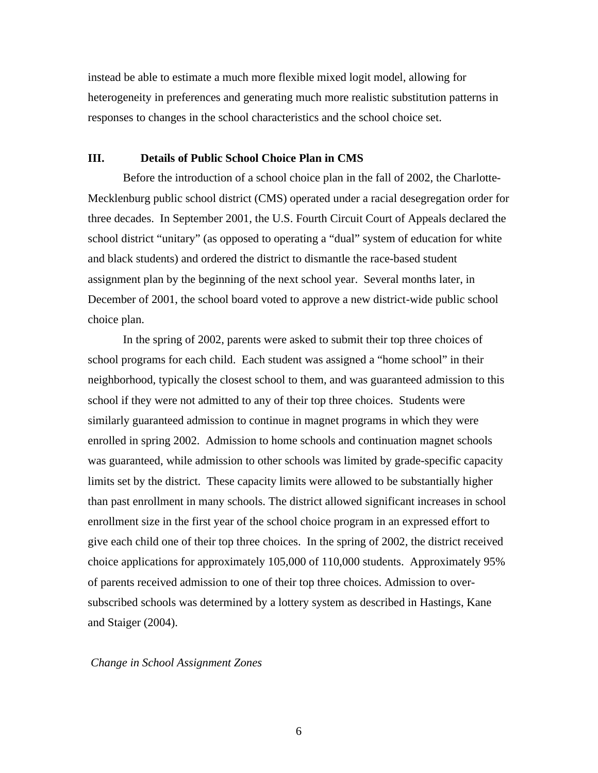instead be able to estimate a much more flexible mixed logit model, allowing for heterogeneity in preferences and generating much more realistic substitution patterns in responses to changes in the school characteristics and the school choice set.

## **III. Details of Public School Choice Plan in CMS**

Before the introduction of a school choice plan in the fall of 2002, the Charlotte-Mecklenburg public school district (CMS) operated under a racial desegregation order for three decades. In September 2001, the U.S. Fourth Circuit Court of Appeals declared the school district "unitary" (as opposed to operating a "dual" system of education for white and black students) and ordered the district to dismantle the race-based student assignment plan by the beginning of the next school year. Several months later, in December of 2001, the school board voted to approve a new district-wide public school choice plan.

In the spring of 2002, parents were asked to submit their top three choices of school programs for each child. Each student was assigned a "home school" in their neighborhood, typically the closest school to them, and was guaranteed admission to this school if they were not admitted to any of their top three choices. Students were similarly guaranteed admission to continue in magnet programs in which they were enrolled in spring 2002. Admission to home schools and continuation magnet schools was guaranteed, while admission to other schools was limited by grade-specific capacity limits set by the district. These capacity limits were allowed to be substantially higher than past enrollment in many schools. The district allowed significant increases in school enrollment size in the first year of the school choice program in an expressed effort to give each child one of their top three choices. In the spring of 2002, the district received choice applications for approximately 105,000 of 110,000 students. Approximately 95% of parents received admission to one of their top three choices. Admission to oversubscribed schools was determined by a lottery system as described in Hastings, Kane and Staiger (2004).

#### *Change in School Assignment Zones*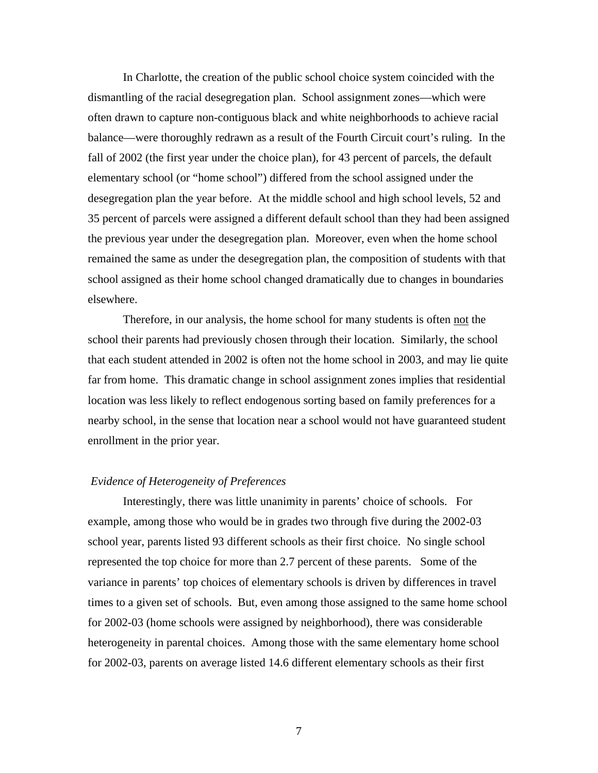In Charlotte, the creation of the public school choice system coincided with the dismantling of the racial desegregation plan. School assignment zones—which were often drawn to capture non-contiguous black and white neighborhoods to achieve racial balance—were thoroughly redrawn as a result of the Fourth Circuit court's ruling. In the fall of 2002 (the first year under the choice plan), for 43 percent of parcels, the default elementary school (or "home school") differed from the school assigned under the desegregation plan the year before. At the middle school and high school levels, 52 and 35 percent of parcels were assigned a different default school than they had been assigned the previous year under the desegregation plan. Moreover, even when the home school remained the same as under the desegregation plan, the composition of students with that school assigned as their home school changed dramatically due to changes in boundaries elsewhere.

Therefore, in our analysis, the home school for many students is often not the school their parents had previously chosen through their location. Similarly, the school that each student attended in 2002 is often not the home school in 2003, and may lie quite far from home. This dramatic change in school assignment zones implies that residential location was less likely to reflect endogenous sorting based on family preferences for a nearby school, in the sense that location near a school would not have guaranteed student enrollment in the prior year.

#### *Evidence of Heterogeneity of Preferences*

Interestingly, there was little unanimity in parents' choice of schools. For example, among those who would be in grades two through five during the 2002-03 school year, parents listed 93 different schools as their first choice. No single school represented the top choice for more than 2.7 percent of these parents. Some of the variance in parents' top choices of elementary schools is driven by differences in travel times to a given set of schools. But, even among those assigned to the same home school for 2002-03 (home schools were assigned by neighborhood), there was considerable heterogeneity in parental choices. Among those with the same elementary home school for 2002-03, parents on average listed 14.6 different elementary schools as their first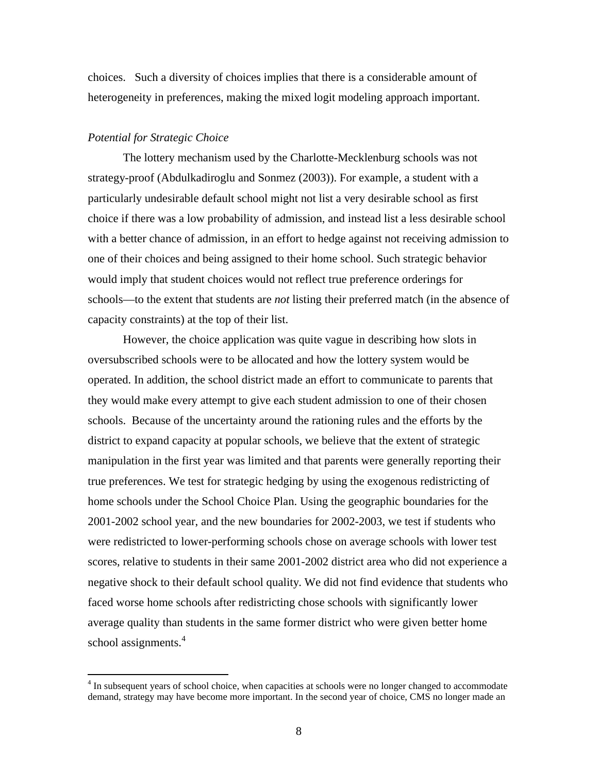choices. Such a diversity of choices implies that there is a considerable amount of heterogeneity in preferences, making the mixed logit modeling approach important.

## *Potential for Strategic Choice*

1

The lottery mechanism used by the Charlotte-Mecklenburg schools was not strategy-proof (Abdulkadiroglu and Sonmez (2003)). For example, a student with a particularly undesirable default school might not list a very desirable school as first choice if there was a low probability of admission, and instead list a less desirable school with a better chance of admission, in an effort to hedge against not receiving admission to one of their choices and being assigned to their home school. Such strategic behavior would imply that student choices would not reflect true preference orderings for schools—to the extent that students are *not* listing their preferred match (in the absence of capacity constraints) at the top of their list.

However, the choice application was quite vague in describing how slots in oversubscribed schools were to be allocated and how the lottery system would be operated. In addition, the school district made an effort to communicate to parents that they would make every attempt to give each student admission to one of their chosen schools. Because of the uncertainty around the rationing rules and the efforts by the district to expand capacity at popular schools, we believe that the extent of strategic manipulation in the first year was limited and that parents were generally reporting their true preferences. We test for strategic hedging by using the exogenous redistricting of home schools under the School Choice Plan. Using the geographic boundaries for the 2001-2002 school year, and the new boundaries for 2002-2003, we test if students who were redistricted to lower-performing schools chose on average schools with lower test scores, relative to students in their same 2001-2002 district area who did not experience a negative shock to their default school quality. We did not find evidence that students who faced worse home schools after redistricting chose schools with significantly lower average quality than students in the same former district who were given better home school assignments.<sup>4</sup>

 $4 \text{ In subsequent years of school choice, when capacities at schools were no longer changed to accommodate }$ demand, strategy may have become more important. In the second year of choice, CMS no longer made an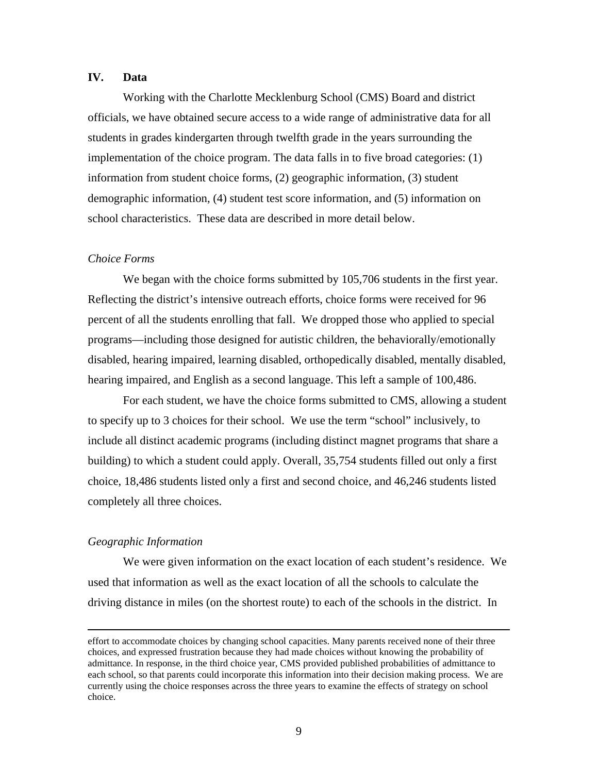## **IV. Data**

Working with the Charlotte Mecklenburg School (CMS) Board and district officials, we have obtained secure access to a wide range of administrative data for all students in grades kindergarten through twelfth grade in the years surrounding the implementation of the choice program. The data falls in to five broad categories: (1) information from student choice forms, (2) geographic information, (3) student demographic information, (4) student test score information, and (5) information on school characteristics. These data are described in more detail below.

## *Choice Forms*

We began with the choice forms submitted by 105,706 students in the first year. Reflecting the district's intensive outreach efforts, choice forms were received for 96 percent of all the students enrolling that fall. We dropped those who applied to special programs—including those designed for autistic children, the behaviorally/emotionally disabled, hearing impaired, learning disabled, orthopedically disabled, mentally disabled, hearing impaired, and English as a second language. This left a sample of 100,486.

For each student, we have the choice forms submitted to CMS, allowing a student to specify up to 3 choices for their school. We use the term "school" inclusively, to include all distinct academic programs (including distinct magnet programs that share a building) to which a student could apply. Overall, 35,754 students filled out only a first choice, 18,486 students listed only a first and second choice, and 46,246 students listed completely all three choices.

#### *Geographic Information*

<u>.</u>

We were given information on the exact location of each student's residence. We used that information as well as the exact location of all the schools to calculate the driving distance in miles (on the shortest route) to each of the schools in the district. In

effort to accommodate choices by changing school capacities. Many parents received none of their three choices, and expressed frustration because they had made choices without knowing the probability of admittance. In response, in the third choice year, CMS provided published probabilities of admittance to each school, so that parents could incorporate this information into their decision making process. We are currently using the choice responses across the three years to examine the effects of strategy on school choice.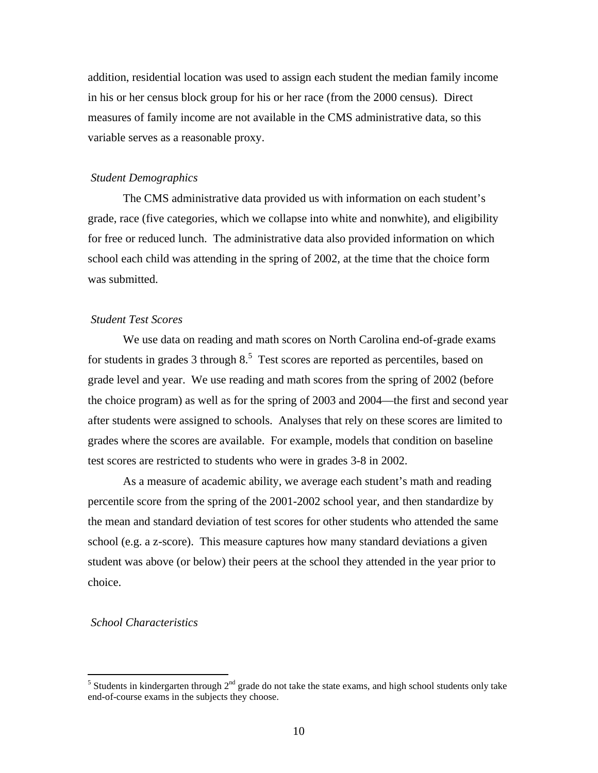addition, residential location was used to assign each student the median family income in his or her census block group for his or her race (from the 2000 census). Direct measures of family income are not available in the CMS administrative data, so this variable serves as a reasonable proxy.

#### *Student Demographics*

The CMS administrative data provided us with information on each student's grade, race (five categories, which we collapse into white and nonwhite), and eligibility for free or reduced lunch. The administrative data also provided information on which school each child was attending in the spring of 2002, at the time that the choice form was submitted.

#### *Student Test Scores*

We use data on reading and math scores on North Carolina end-of-grade exams for students in grades  $3$  through  $8<sup>5</sup>$  Test scores are reported as percentiles, based on grade level and year. We use reading and math scores from the spring of 2002 (before the choice program) as well as for the spring of 2003 and 2004—the first and second year after students were assigned to schools. Analyses that rely on these scores are limited to grades where the scores are available. For example, models that condition on baseline test scores are restricted to students who were in grades 3-8 in 2002.

As a measure of academic ability, we average each student's math and reading percentile score from the spring of the 2001-2002 school year, and then standardize by the mean and standard deviation of test scores for other students who attended the same school (e.g. a z-score). This measure captures how many standard deviations a given student was above (or below) their peers at the school they attended in the year prior to choice.

## *School Characteristics*

<sup>&</sup>lt;sup>5</sup> Students in kindergarten through  $2<sup>nd</sup>$  grade do not take the state exams, and high school students only take end-of-course exams in the subjects they choose.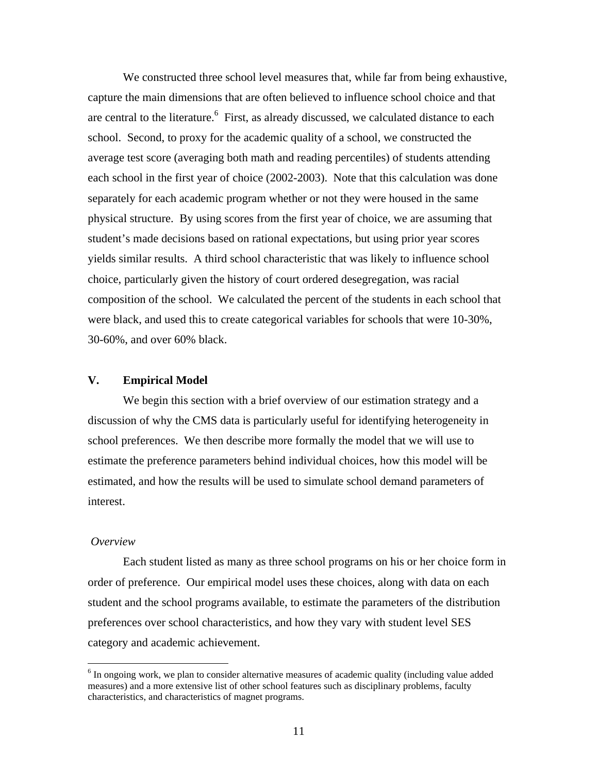We constructed three school level measures that, while far from being exhaustive, capture the main dimensions that are often believed to influence school choice and that are central to the literature.  $\frac{6}{5}$  First, as already discussed, we calculated distance to each school. Second, to proxy for the academic quality of a school, we constructed the average test score (averaging both math and reading percentiles) of students attending each school in the first year of choice (2002-2003). Note that this calculation was done separately for each academic program whether or not they were housed in the same physical structure. By using scores from the first year of choice, we are assuming that student's made decisions based on rational expectations, but using prior year scores yields similar results. A third school characteristic that was likely to influence school choice, particularly given the history of court ordered desegregation, was racial composition of the school. We calculated the percent of the students in each school that were black, and used this to create categorical variables for schools that were 10-30%, 30-60%, and over 60% black.

#### **V. Empirical Model**

We begin this section with a brief overview of our estimation strategy and a discussion of why the CMS data is particularly useful for identifying heterogeneity in school preferences. We then describe more formally the model that we will use to estimate the preference parameters behind individual choices, how this model will be estimated, and how the results will be used to simulate school demand parameters of interest.

## *Overview*

1

Each student listed as many as three school programs on his or her choice form in order of preference. Our empirical model uses these choices, along with data on each student and the school programs available, to estimate the parameters of the distribution preferences over school characteristics, and how they vary with student level SES category and academic achievement.

<sup>&</sup>lt;sup>6</sup> In ongoing work, we plan to consider alternative measures of academic quality (including value added measures) and a more extensive list of other school features such as disciplinary problems, faculty characteristics, and characteristics of magnet programs.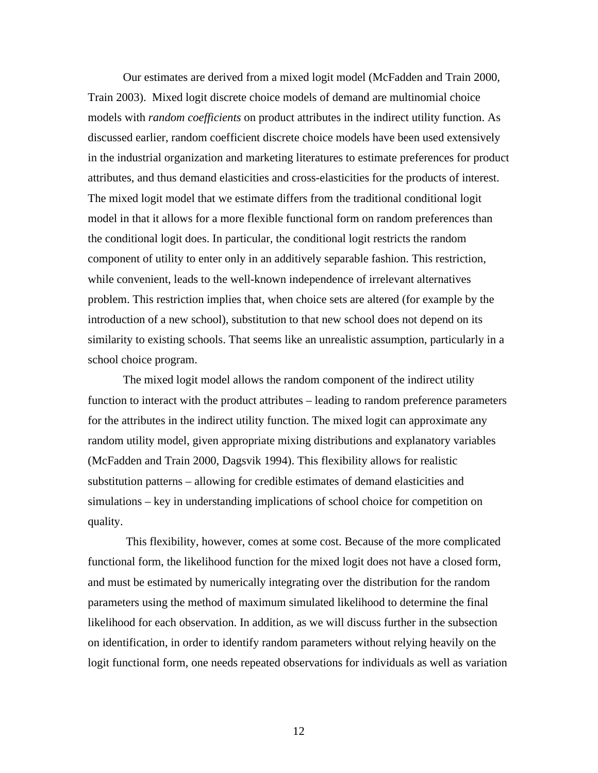Our estimates are derived from a mixed logit model (McFadden and Train 2000, Train 2003). Mixed logit discrete choice models of demand are multinomial choice models with *random coefficients* on product attributes in the indirect utility function. As discussed earlier, random coefficient discrete choice models have been used extensively in the industrial organization and marketing literatures to estimate preferences for product attributes, and thus demand elasticities and cross-elasticities for the products of interest. The mixed logit model that we estimate differs from the traditional conditional logit model in that it allows for a more flexible functional form on random preferences than the conditional logit does. In particular, the conditional logit restricts the random component of utility to enter only in an additively separable fashion. This restriction, while convenient, leads to the well-known independence of irrelevant alternatives problem. This restriction implies that, when choice sets are altered (for example by the introduction of a new school), substitution to that new school does not depend on its similarity to existing schools. That seems like an unrealistic assumption, particularly in a school choice program.

The mixed logit model allows the random component of the indirect utility function to interact with the product attributes – leading to random preference parameters for the attributes in the indirect utility function. The mixed logit can approximate any random utility model, given appropriate mixing distributions and explanatory variables (McFadden and Train 2000, Dagsvik 1994). This flexibility allows for realistic substitution patterns – allowing for credible estimates of demand elasticities and simulations – key in understanding implications of school choice for competition on quality.

This flexibility, however, comes at some cost. Because of the more complicated functional form, the likelihood function for the mixed logit does not have a closed form, and must be estimated by numerically integrating over the distribution for the random parameters using the method of maximum simulated likelihood to determine the final likelihood for each observation. In addition, as we will discuss further in the subsection on identification, in order to identify random parameters without relying heavily on the logit functional form, one needs repeated observations for individuals as well as variation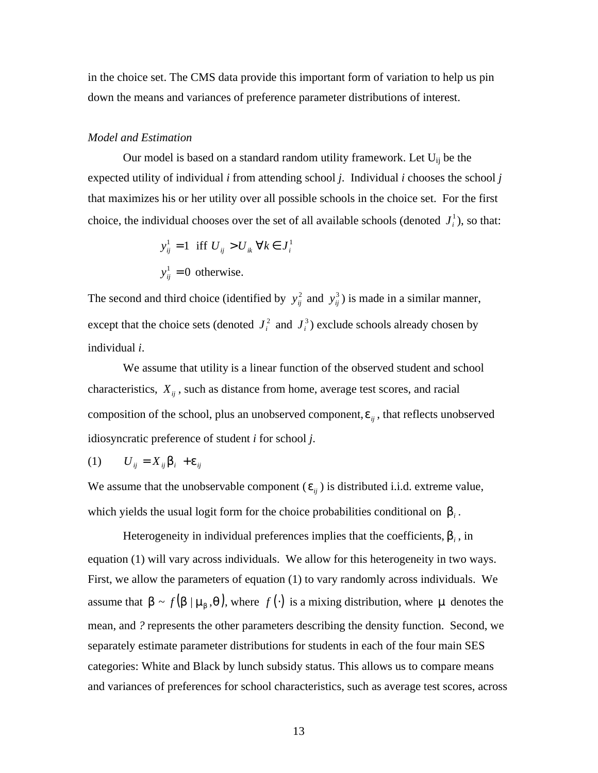in the choice set. The CMS data provide this important form of variation to help us pin down the means and variances of preference parameter distributions of interest.

#### *Model and Estimation*

Our model is based on a standard random utility framework. Let  $U_{ij}$  be the expected utility of individual *i* from attending school *j*. Individual *i* chooses the school *j* that maximizes his or her utility over all possible schools in the choice set. For the first choice, the individual chooses over the set of all available schools (denoted  $J_i^1$ ), so that:

$$
y_{ij}^{1} = 1 \text{ iff } U_{ij} > U_{ik} \ \forall k \in J_{i}^{1}
$$
  

$$
y_{ij}^{1} = 0 \text{ otherwise.}
$$

The second and third choice (identified by  $y_{ij}^2$  and  $y_{ij}^3$ ) is made in a similar manner, except that the choice sets (denoted  $J_i^2$  and  $J_i^3$ ) exclude schools already chosen by individual *i*.

We assume that utility is a linear function of the observed student and school characteristics,  $X_{ii}$ , such as distance from home, average test scores, and racial composition of the school, plus an unobserved component,  $e_{ij}$ , that reflects unobserved idiosyncratic preference of student *i* for school *j*.

$$
(1) \qquad U_{ij} = X_{ij} \mathbf{b}_i + \mathbf{e}_{ij}
$$

We assume that the unobservable component  $(e_{ij})$  is distributed i.i.d. extreme value, which yields the usual logit form for the choice probabilities conditional on  $\bm{b}_i$ .

Heterogeneity in individual preferences implies that the coefficients, *b<sup>i</sup>* , in equation (1) will vary across individuals. We allow for this heterogeneity in two ways. First, we allow the parameters of equation (1) to vary randomly across individuals. We assume that  $\mathbf{b} \sim f(\mathbf{b} \mid \mathbf{m}_b, \mathbf{q})$ , where  $f(\cdot)$  is a mixing distribution, where  $\mathbf{m}$  denotes the mean, and *?* represents the other parameters describing the density function. Second, we separately estimate parameter distributions for students in each of the four main SES categories: White and Black by lunch subsidy status. This allows us to compare means and variances of preferences for school characteristics, such as average test scores, across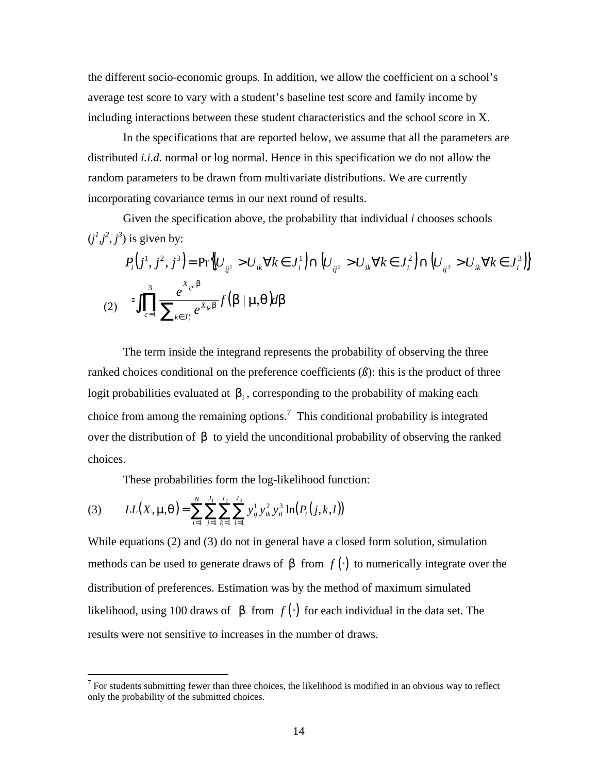the different socio-economic groups. In addition, we allow the coefficient on a school's average test score to vary with a student's baseline test score and family income by including interactions between these student characteristics and the school score in X.

In the specifications that are reported below, we assume that all the parameters are distributed *i.i.d.* normal or log normal. Hence in this specification we do not allow the random parameters to be drawn from multivariate distributions. We are currently incorporating covariance terms in our next round of results.

Given the specification above, the probability that individual *i* chooses schools  $(j^1, j^2, j^3)$  is given by:

$$
P_i(j^1, j^2, j^3) = \Pr\Big\{ U_{ij^1} > U_{ik} \forall k \in J_i^1 \Big\} \cap \Big( U_{ij^2} > U_{ik} \forall k \in J_i^2 \Big) \cap \Big( U_{ij^3} > U_{ik} \forall k \in J_i^3 \Big) \Big\}
$$
\n
$$
(2) \qquad \iint_{c=1}^3 \frac{e^{X_{ij} b}}{\sum_{k \in J_i^c} e^{X_{ik} b}} f(b \mid \mathbf{m} \mathbf{q}) d\mathbf{b}
$$

The term inside the integrand represents the probability of observing the three ranked choices conditional on the preference coefficients  $(\beta)$ : this is the product of three logit probabilities evaluated at *b<sup>i</sup>* , corresponding to the probability of making each choice from among the remaining options.<sup>7</sup> This conditional probability is integrated over the distribution of *b* to yield the unconditional probability of observing the ranked choices.

These probabilities form the log-likelihood function:

(3) 
$$
LL(X, \mathbf{m}, \mathbf{q}) = \sum_{i=1}^{N} \sum_{j=1}^{J_1} \sum_{k=1}^{J_2} \sum_{l=1}^{J_3} y_{ij}^1 y_{ik}^2 y_{il}^3 \ln(P_i(j, k, l))
$$

1

While equations (2) and (3) do not in general have a closed form solution, simulation methods can be used to generate draws of **b** from  $f(\cdot)$  to numerically integrate over the distribution of preferences. Estimation was by the method of maximum simulated likelihood, using 100 draws of **b** from  $f(\cdot)$  for each individual in the data set. The results were not sensitive to increases in the number of draws.

 $<sup>7</sup>$  For students submitting fewer than three choices, the likelihood is modified in an obvious way to reflect</sup> only the probability of the submitted choices.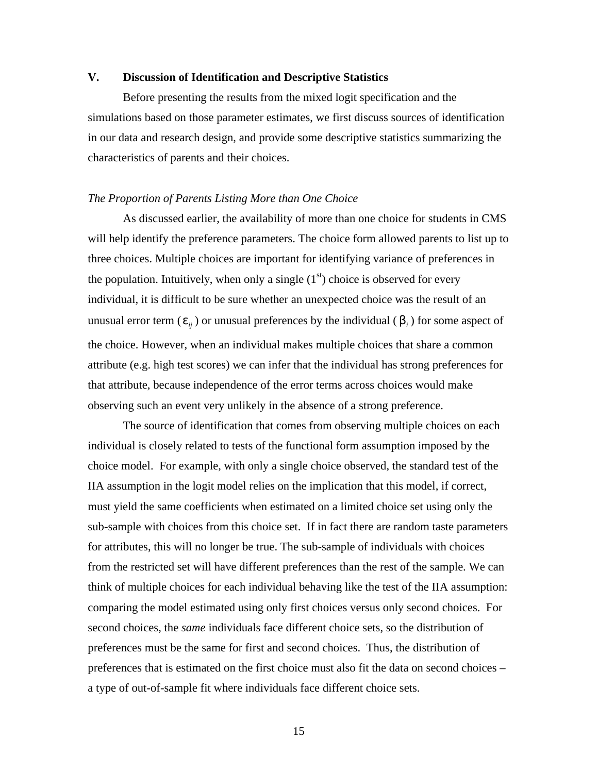## **V. Discussion of Identification and Descriptive Statistics**

Before presenting the results from the mixed logit specification and the simulations based on those parameter estimates, we first discuss sources of identification in our data and research design, and provide some descriptive statistics summarizing the characteristics of parents and their choices.

#### *The Proportion of Parents Listing More than One Choice*

As discussed earlier, the availability of more than one choice for students in CMS will help identify the preference parameters. The choice form allowed parents to list up to three choices. Multiple choices are important for identifying variance of preferences in the population. Intuitively, when only a single  $(1<sup>st</sup>)$  choice is observed for every individual, it is difficult to be sure whether an unexpected choice was the result of an unusual error term ( $e_{ij}$ ) or unusual preferences by the individual ( $b_i$ ) for some aspect of the choice. However, when an individual makes multiple choices that share a common attribute (e.g. high test scores) we can infer that the individual has strong preferences for that attribute, because independence of the error terms across choices would make observing such an event very unlikely in the absence of a strong preference.

The source of identification that comes from observing multiple choices on each individual is closely related to tests of the functional form assumption imposed by the choice model. For example, with only a single choice observed, the standard test of the IIA assumption in the logit model relies on the implication that this model, if correct, must yield the same coefficients when estimated on a limited choice set using only the sub-sample with choices from this choice set. If in fact there are random taste parameters for attributes, this will no longer be true. The sub-sample of individuals with choices from the restricted set will have different preferences than the rest of the sample. We can think of multiple choices for each individual behaving like the test of the IIA assumption: comparing the model estimated using only first choices versus only second choices. For second choices, the *same* individuals face different choice sets, so the distribution of preferences must be the same for first and second choices. Thus, the distribution of preferences that is estimated on the first choice must also fit the data on second choices – a type of out-of-sample fit where individuals face different choice sets.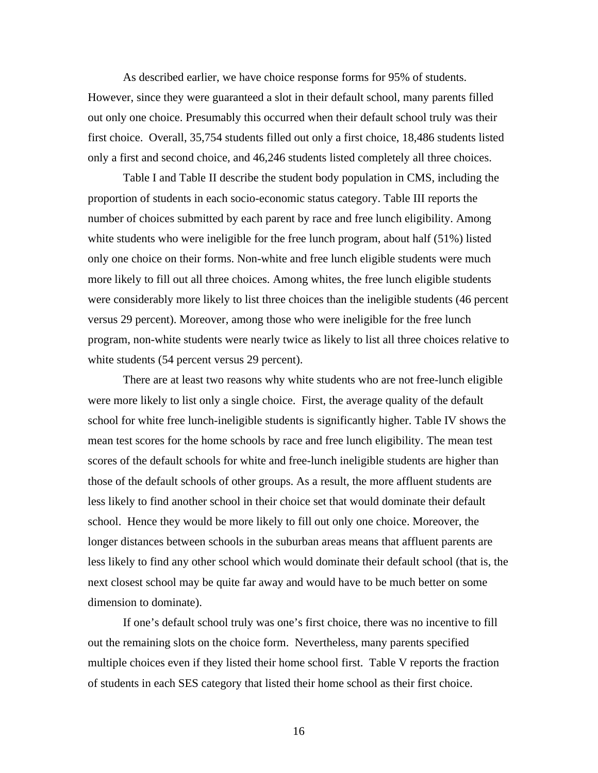As described earlier, we have choice response forms for 95% of students. However, since they were guaranteed a slot in their default school, many parents filled out only one choice. Presumably this occurred when their default school truly was their first choice. Overall, 35,754 students filled out only a first choice, 18,486 students listed only a first and second choice, and 46,246 students listed completely all three choices.

Table I and Table II describe the student body population in CMS, including the proportion of students in each socio-economic status category. Table III reports the number of choices submitted by each parent by race and free lunch eligibility. Among white students who were ineligible for the free lunch program, about half (51%) listed only one choice on their forms. Non-white and free lunch eligible students were much more likely to fill out all three choices. Among whites, the free lunch eligible students were considerably more likely to list three choices than the ineligible students (46 percent versus 29 percent). Moreover, among those who were ineligible for the free lunch program, non-white students were nearly twice as likely to list all three choices relative to white students (54 percent versus 29 percent).

There are at least two reasons why white students who are not free-lunch eligible were more likely to list only a single choice. First, the average quality of the default school for white free lunch-ineligible students is significantly higher. Table IV shows the mean test scores for the home schools by race and free lunch eligibility. The mean test scores of the default schools for white and free-lunch ineligible students are higher than those of the default schools of other groups. As a result, the more affluent students are less likely to find another school in their choice set that would dominate their default school. Hence they would be more likely to fill out only one choice. Moreover, the longer distances between schools in the suburban areas means that affluent parents are less likely to find any other school which would dominate their default school (that is, the next closest school may be quite far away and would have to be much better on some dimension to dominate).

If one's default school truly was one's first choice, there was no incentive to fill out the remaining slots on the choice form. Nevertheless, many parents specified multiple choices even if they listed their home school first. Table V reports the fraction of students in each SES category that listed their home school as their first choice.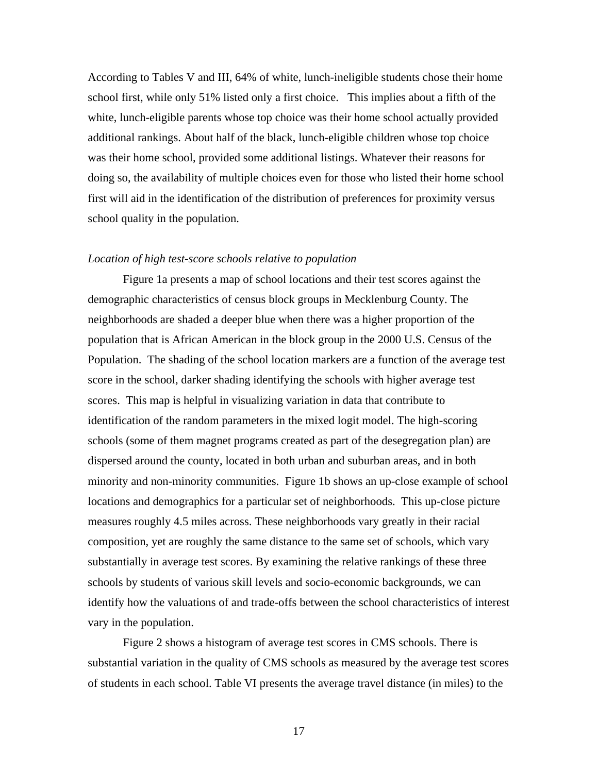According to Tables V and III, 64% of white, lunch-ineligible students chose their home school first, while only 51% listed only a first choice. This implies about a fifth of the white, lunch-eligible parents whose top choice was their home school actually provided additional rankings. About half of the black, lunch-eligible children whose top choice was their home school, provided some additional listings. Whatever their reasons for doing so, the availability of multiple choices even for those who listed their home school first will aid in the identification of the distribution of preferences for proximity versus school quality in the population.

## *Location of high test-score schools relative to population*

Figure 1a presents a map of school locations and their test scores against the demographic characteristics of census block groups in Mecklenburg County. The neighborhoods are shaded a deeper blue when there was a higher proportion of the population that is African American in the block group in the 2000 U.S. Census of the Population. The shading of the school location markers are a function of the average test score in the school, darker shading identifying the schools with higher average test scores. This map is helpful in visualizing variation in data that contribute to identification of the random parameters in the mixed logit model. The high-scoring schools (some of them magnet programs created as part of the desegregation plan) are dispersed around the county, located in both urban and suburban areas, and in both minority and non-minority communities. Figure 1b shows an up-close example of school locations and demographics for a particular set of neighborhoods. This up-close picture measures roughly 4.5 miles across. These neighborhoods vary greatly in their racial composition, yet are roughly the same distance to the same set of schools, which vary substantially in average test scores. By examining the relative rankings of these three schools by students of various skill levels and socio-economic backgrounds, we can identify how the valuations of and trade-offs between the school characteristics of interest vary in the population.

Figure 2 shows a histogram of average test scores in CMS schools. There is substantial variation in the quality of CMS schools as measured by the average test scores of students in each school. Table VI presents the average travel distance (in miles) to the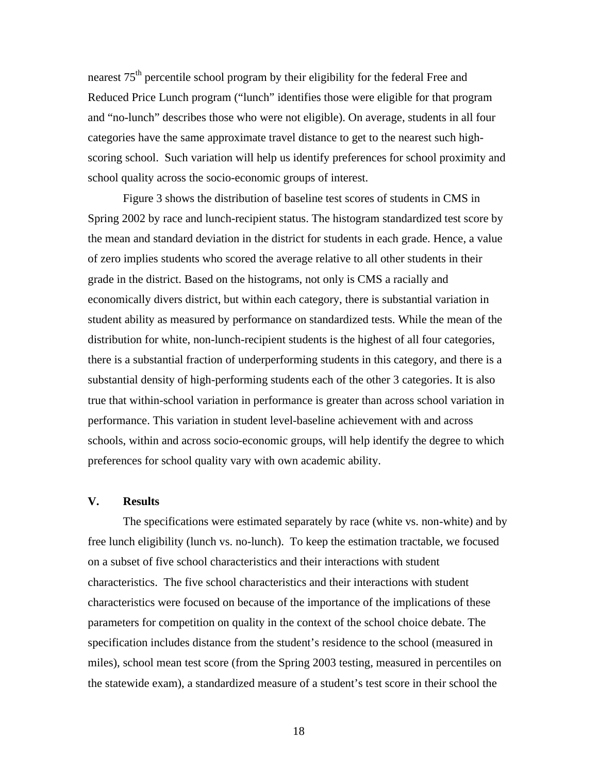nearest  $75<sup>th</sup>$  percentile school program by their eligibility for the federal Free and Reduced Price Lunch program ("lunch" identifies those were eligible for that program and "no-lunch" describes those who were not eligible). On average, students in all four categories have the same approximate travel distance to get to the nearest such highscoring school. Such variation will help us identify preferences for school proximity and school quality across the socio-economic groups of interest.

Figure 3 shows the distribution of baseline test scores of students in CMS in Spring 2002 by race and lunch-recipient status. The histogram standardized test score by the mean and standard deviation in the district for students in each grade. Hence, a value of zero implies students who scored the average relative to all other students in their grade in the district. Based on the histograms, not only is CMS a racially and economically divers district, but within each category, there is substantial variation in student ability as measured by performance on standardized tests. While the mean of the distribution for white, non-lunch-recipient students is the highest of all four categories, there is a substantial fraction of underperforming students in this category, and there is a substantial density of high-performing students each of the other 3 categories. It is also true that within-school variation in performance is greater than across school variation in performance. This variation in student level-baseline achievement with and across schools, within and across socio-economic groups, will help identify the degree to which preferences for school quality vary with own academic ability.

## **V. Results**

The specifications were estimated separately by race (white vs. non-white) and by free lunch eligibility (lunch vs. no-lunch). To keep the estimation tractable, we focused on a subset of five school characteristics and their interactions with student characteristics. The five school characteristics and their interactions with student characteristics were focused on because of the importance of the implications of these parameters for competition on quality in the context of the school choice debate. The specification includes distance from the student's residence to the school (measured in miles), school mean test score (from the Spring 2003 testing, measured in percentiles on the statewide exam), a standardized measure of a student's test score in their school the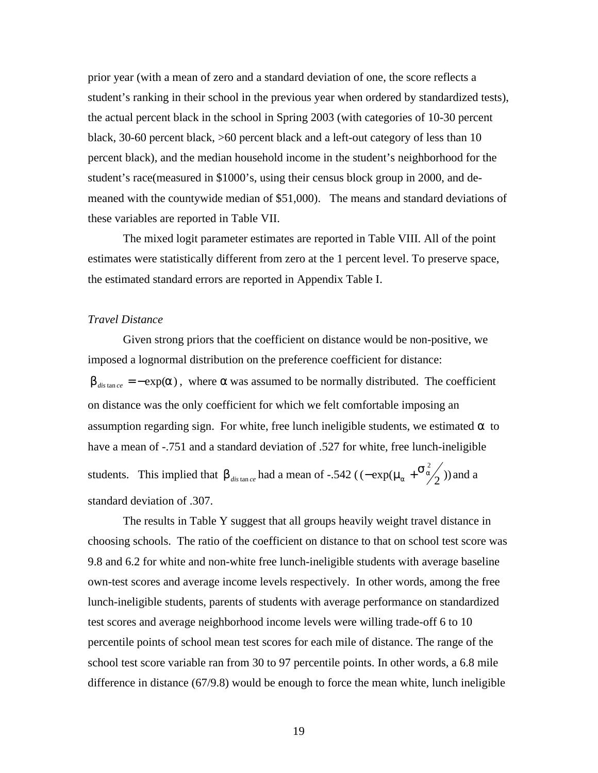prior year (with a mean of zero and a standard deviation of one, the score reflects a student's ranking in their school in the previous year when ordered by standardized tests), the actual percent black in the school in Spring 2003 (with categories of 10-30 percent black, 30-60 percent black, >60 percent black and a left-out category of less than 10 percent black), and the median household income in the student's neighborhood for the student's race(measured in \$1000's, using their census block group in 2000, and demeaned with the countywide median of \$51,000). The means and standard deviations of these variables are reported in Table VII.

The mixed logit parameter estimates are reported in Table VIII. All of the point estimates were statistically different from zero at the 1 percent level. To preserve space, the estimated standard errors are reported in Appendix Table I.

#### *Travel Distance*

Given strong priors that the coefficient on distance would be non-positive, we imposed a lognormal distribution on the preference coefficient for distance: **<sub>***dis* **tan** *ce* **= −**  $\exp(a)$ **, where**  $\alpha$  **was assumed to be normally distributed. The coefficient**</sub> on distance was the only coefficient for which we felt comfortable imposing an assumption regarding sign. For white, free lunch ineligible students, we estimated  $\alpha$  to have a mean of -.751 and a standard deviation of .527 for white, free lunch-ineligible students. This implied that  $\mathbf{b}_{\text{dis tan ce}}$  had a mean of -.542 ( $(-\exp(\mathbf{m_a + \frac{s^2}{2}}))$  $a + \frac{3a}{4}$  $-\exp(\mathbf{m}_{\mathbf{a}} + \mathbf{S}_{\mathbf{a}}^2)$ ) and a standard deviation of .307.

The results in Table Y suggest that all groups heavily weight travel distance in choosing schools. The ratio of the coefficient on distance to that on school test score was 9.8 and 6.2 for white and non-white free lunch-ineligible students with average baseline own-test scores and average income levels respectively. In other words, among the free lunch-ineligible students, parents of students with average performance on standardized test scores and average neighborhood income levels were willing trade-off 6 to 10 percentile points of school mean test scores for each mile of distance. The range of the school test score variable ran from 30 to 97 percentile points. In other words, a 6.8 mile difference in distance (67/9.8) would be enough to force the mean white, lunch ineligible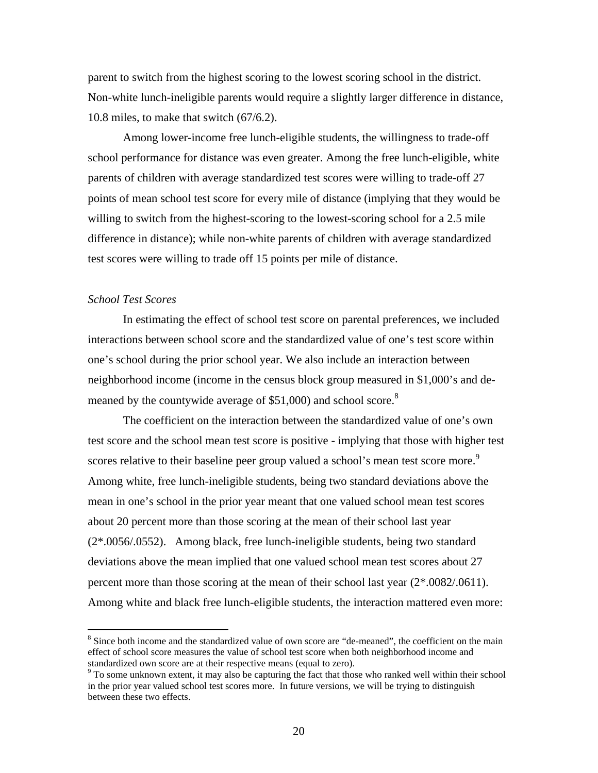parent to switch from the highest scoring to the lowest scoring school in the district. Non-white lunch-ineligible parents would require a slightly larger difference in distance, 10.8 miles, to make that switch (67/6.2).

Among lower-income free lunch-eligible students, the willingness to trade-off school performance for distance was even greater. Among the free lunch-eligible, white parents of children with average standardized test scores were willing to trade-off 27 points of mean school test score for every mile of distance (implying that they would be willing to switch from the highest-scoring to the lowest-scoring school for a 2.5 mile difference in distance); while non-white parents of children with average standardized test scores were willing to trade off 15 points per mile of distance.

#### *School Test Scores*

 $\overline{a}$ 

In estimating the effect of school test score on parental preferences, we included interactions between school score and the standardized value of one's test score within one's school during the prior school year. We also include an interaction between neighborhood income (income in the census block group measured in \$1,000's and demeaned by the countywide average of \$51,000) and school score. $8$ 

The coefficient on the interaction between the standardized value of one's own test score and the school mean test score is positive - implying that those with higher test scores relative to their baseline peer group valued a school's mean test score more.<sup>9</sup> Among white, free lunch-ineligible students, being two standard deviations above the mean in one's school in the prior year meant that one valued school mean test scores about 20 percent more than those scoring at the mean of their school last year (2\*.0056/.0552). Among black, free lunch-ineligible students, being two standard deviations above the mean implied that one valued school mean test scores about 27 percent more than those scoring at the mean of their school last year (2\*.0082/.0611). Among white and black free lunch-eligible students, the interaction mattered even more:

<sup>&</sup>lt;sup>8</sup> Since both income and the standardized value of own score are "de-meaned", the coefficient on the main effect of school score measures the value of school test score when both neighborhood income and standardized own score are at their respective means (equal to zero).

<sup>&</sup>lt;sup>9</sup> To some unknown extent, it may also be capturing the fact that those who ranked well within their school in the prior year valued school test scores more. In future versions, we will be trying to distinguish between these two effects.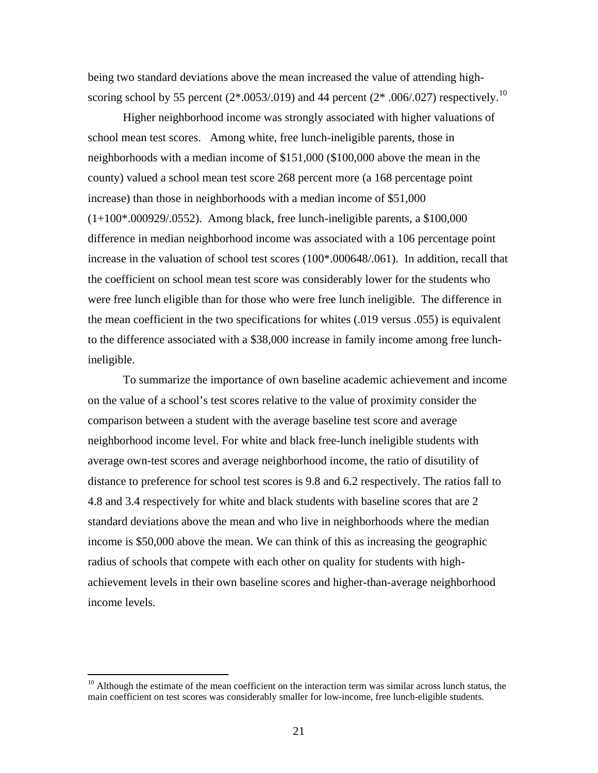being two standard deviations above the mean increased the value of attending highscoring school by 55 percent  $(2*.0053/.019)$  and 44 percent  $(2*.006/.027)$  respectively.<sup>10</sup>

Higher neighborhood income was strongly associated with higher valuations of school mean test scores. Among white, free lunch-ineligible parents, those in neighborhoods with a median income of \$151,000 (\$100,000 above the mean in the county) valued a school mean test score 268 percent more (a 168 percentage point increase) than those in neighborhoods with a median income of \$51,000  $(1+100*.000929/.0552)$ . Among black, free lunch-ineligible parents, a \$100,000 difference in median neighborhood income was associated with a 106 percentage point increase in the valuation of school test scores (100\*.000648/.061). In addition, recall that the coefficient on school mean test score was considerably lower for the students who were free lunch eligible than for those who were free lunch ineligible. The difference in the mean coefficient in the two specifications for whites (.019 versus .055) is equivalent to the difference associated with a \$38,000 increase in family income among free lunchineligible.

To summarize the importance of own baseline academic achievement and income on the value of a school's test scores relative to the value of proximity consider the comparison between a student with the average baseline test score and average neighborhood income level. For white and black free-lunch ineligible students with average own-test scores and average neighborhood income, the ratio of disutility of distance to preference for school test scores is 9.8 and 6.2 respectively. The ratios fall to 4.8 and 3.4 respectively for white and black students with baseline scores that are 2 standard deviations above the mean and who live in neighborhoods where the median income is \$50,000 above the mean. We can think of this as increasing the geographic radius of schools that compete with each other on quality for students with highachievement levels in their own baseline scores and higher-than-average neighborhood income levels.

 $10$  Although the estimate of the mean coefficient on the interaction term was similar across lunch status, the main coefficient on test scores was considerably smaller for low-income, free lunch-eligible students.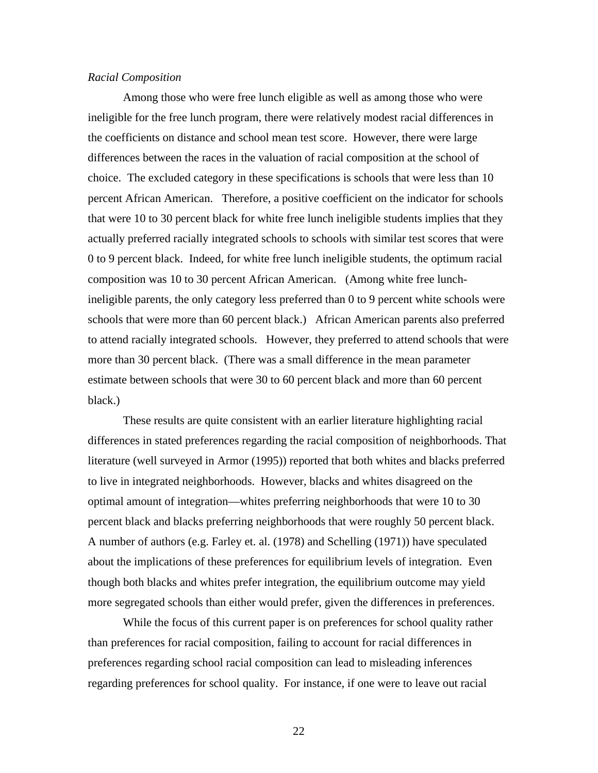#### *Racial Composition*

Among those who were free lunch eligible as well as among those who were ineligible for the free lunch program, there were relatively modest racial differences in the coefficients on distance and school mean test score. However, there were large differences between the races in the valuation of racial composition at the school of choice. The excluded category in these specifications is schools that were less than 10 percent African American. Therefore, a positive coefficient on the indicator for schools that were 10 to 30 percent black for white free lunch ineligible students implies that they actually preferred racially integrated schools to schools with similar test scores that were 0 to 9 percent black. Indeed, for white free lunch ineligible students, the optimum racial composition was 10 to 30 percent African American. (Among white free lunchineligible parents, the only category less preferred than 0 to 9 percent white schools were schools that were more than 60 percent black.) African American parents also preferred to attend racially integrated schools. However, they preferred to attend schools that were more than 30 percent black. (There was a small difference in the mean parameter estimate between schools that were 30 to 60 percent black and more than 60 percent black.)

These results are quite consistent with an earlier literature highlighting racial differences in stated preferences regarding the racial composition of neighborhoods. That literature (well surveyed in Armor (1995)) reported that both whites and blacks preferred to live in integrated neighborhoods. However, blacks and whites disagreed on the optimal amount of integration—whites preferring neighborhoods that were 10 to 30 percent black and blacks preferring neighborhoods that were roughly 50 percent black. A number of authors (e.g. Farley et. al. (1978) and Schelling (1971)) have speculated about the implications of these preferences for equilibrium levels of integration. Even though both blacks and whites prefer integration, the equilibrium outcome may yield more segregated schools than either would prefer, given the differences in preferences.

While the focus of this current paper is on preferences for school quality rather than preferences for racial composition, failing to account for racial differences in preferences regarding school racial composition can lead to misleading inferences regarding preferences for school quality. For instance, if one were to leave out racial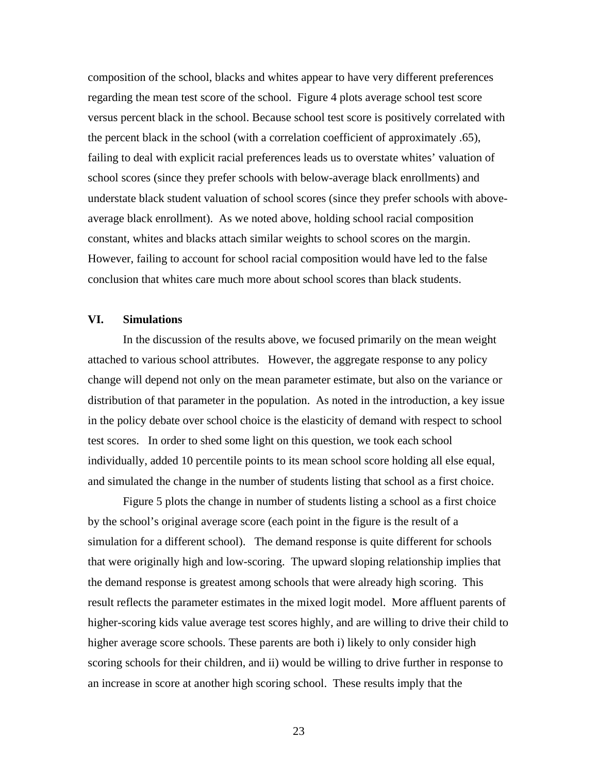composition of the school, blacks and whites appear to have very different preferences regarding the mean test score of the school. Figure 4 plots average school test score versus percent black in the school. Because school test score is positively correlated with the percent black in the school (with a correlation coefficient of approximately .65), failing to deal with explicit racial preferences leads us to overstate whites' valuation of school scores (since they prefer schools with below-average black enrollments) and understate black student valuation of school scores (since they prefer schools with aboveaverage black enrollment). As we noted above, holding school racial composition constant, whites and blacks attach similar weights to school scores on the margin. However, failing to account for school racial composition would have led to the false conclusion that whites care much more about school scores than black students.

## **VI. Simulations**

In the discussion of the results above, we focused primarily on the mean weight attached to various school attributes. However, the aggregate response to any policy change will depend not only on the mean parameter estimate, but also on the variance or distribution of that parameter in the population. As noted in the introduction, a key issue in the policy debate over school choice is the elasticity of demand with respect to school test scores. In order to shed some light on this question, we took each school individually, added 10 percentile points to its mean school score holding all else equal, and simulated the change in the number of students listing that school as a first choice.

Figure 5 plots the change in number of students listing a school as a first choice by the school's original average score (each point in the figure is the result of a simulation for a different school). The demand response is quite different for schools that were originally high and low-scoring. The upward sloping relationship implies that the demand response is greatest among schools that were already high scoring. This result reflects the parameter estimates in the mixed logit model. More affluent parents of higher-scoring kids value average test scores highly, and are willing to drive their child to higher average score schools. These parents are both i) likely to only consider high scoring schools for their children, and ii) would be willing to drive further in response to an increase in score at another high scoring school. These results imply that the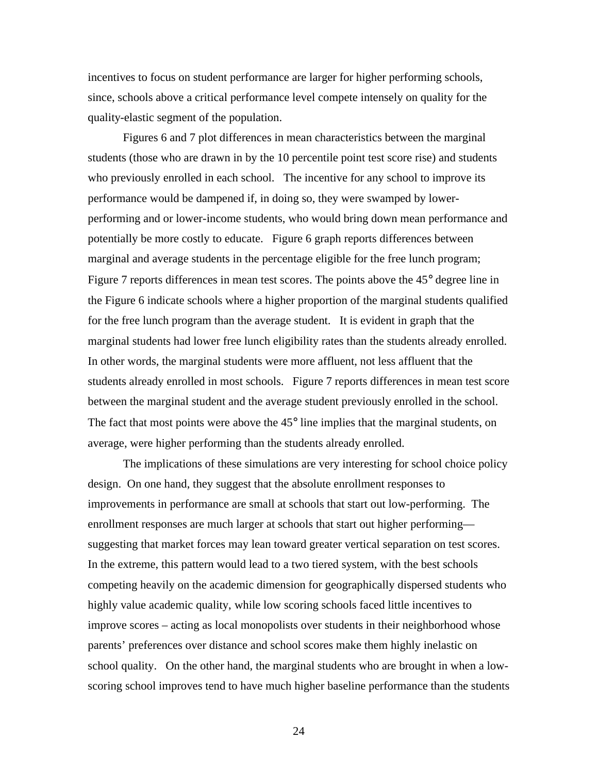incentives to focus on student performance are larger for higher performing schools, since, schools above a critical performance level compete intensely on quality for the quality-elastic segment of the population.

Figures 6 and 7 plot differences in mean characteristics between the marginal students (those who are drawn in by the 10 percentile point test score rise) and students who previously enrolled in each school. The incentive for any school to improve its performance would be dampened if, in doing so, they were swamped by lowerperforming and or lower-income students, who would bring down mean performance and potentially be more costly to educate. Figure 6 graph reports differences between marginal and average students in the percentage eligible for the free lunch program; Figure 7 reports differences in mean test scores. The points above the 45° degree line in the Figure 6 indicate schools where a higher proportion of the marginal students qualified for the free lunch program than the average student. It is evident in graph that the marginal students had lower free lunch eligibility rates than the students already enrolled. In other words, the marginal students were more affluent, not less affluent that the students already enrolled in most schools. Figure 7 reports differences in mean test score between the marginal student and the average student previously enrolled in the school. The fact that most points were above the  $45^{\circ}$  line implies that the marginal students, on average, were higher performing than the students already enrolled.

The implications of these simulations are very interesting for school choice policy design. On one hand, they suggest that the absolute enrollment responses to improvements in performance are small at schools that start out low-performing. The enrollment responses are much larger at schools that start out higher performing suggesting that market forces may lean toward greater vertical separation on test scores. In the extreme, this pattern would lead to a two tiered system, with the best schools competing heavily on the academic dimension for geographically dispersed students who highly value academic quality, while low scoring schools faced little incentives to improve scores – acting as local monopolists over students in their neighborhood whose parents' preferences over distance and school scores make them highly inelastic on school quality. On the other hand, the marginal students who are brought in when a lowscoring school improves tend to have much higher baseline performance than the students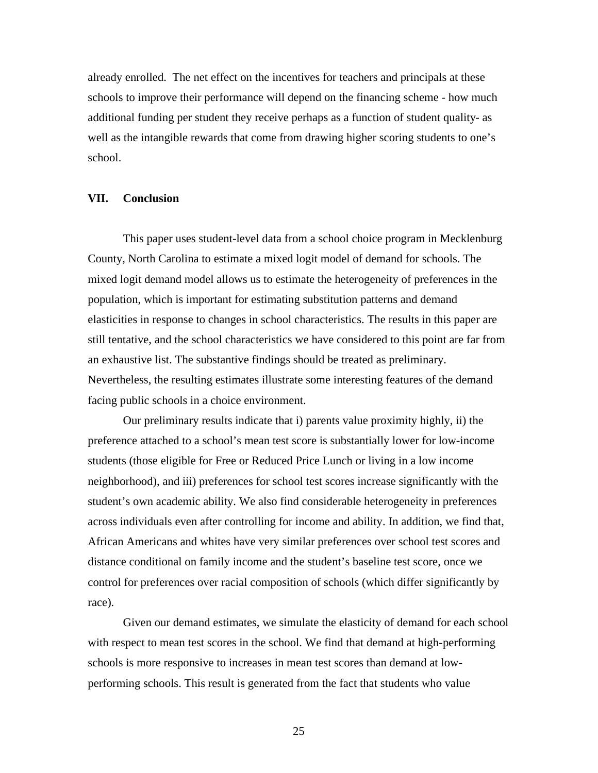already enrolled. The net effect on the incentives for teachers and principals at these schools to improve their performance will depend on the financing scheme - how much additional funding per student they receive perhaps as a function of student quality- as well as the intangible rewards that come from drawing higher scoring students to one's school.

#### **VII. Conclusion**

This paper uses student-level data from a school choice program in Mecklenburg County, North Carolina to estimate a mixed logit model of demand for schools. The mixed logit demand model allows us to estimate the heterogeneity of preferences in the population, which is important for estimating substitution patterns and demand elasticities in response to changes in school characteristics. The results in this paper are still tentative, and the school characteristics we have considered to this point are far from an exhaustive list. The substantive findings should be treated as preliminary. Nevertheless, the resulting estimates illustrate some interesting features of the demand facing public schools in a choice environment.

Our preliminary results indicate that i) parents value proximity highly, ii) the preference attached to a school's mean test score is substantially lower for low-income students (those eligible for Free or Reduced Price Lunch or living in a low income neighborhood), and iii) preferences for school test scores increase significantly with the student's own academic ability. We also find considerable heterogeneity in preferences across individuals even after controlling for income and ability. In addition, we find that, African Americans and whites have very similar preferences over school test scores and distance conditional on family income and the student's baseline test score, once we control for preferences over racial composition of schools (which differ significantly by race).

Given our demand estimates, we simulate the elasticity of demand for each school with respect to mean test scores in the school. We find that demand at high-performing schools is more responsive to increases in mean test scores than demand at lowperforming schools. This result is generated from the fact that students who value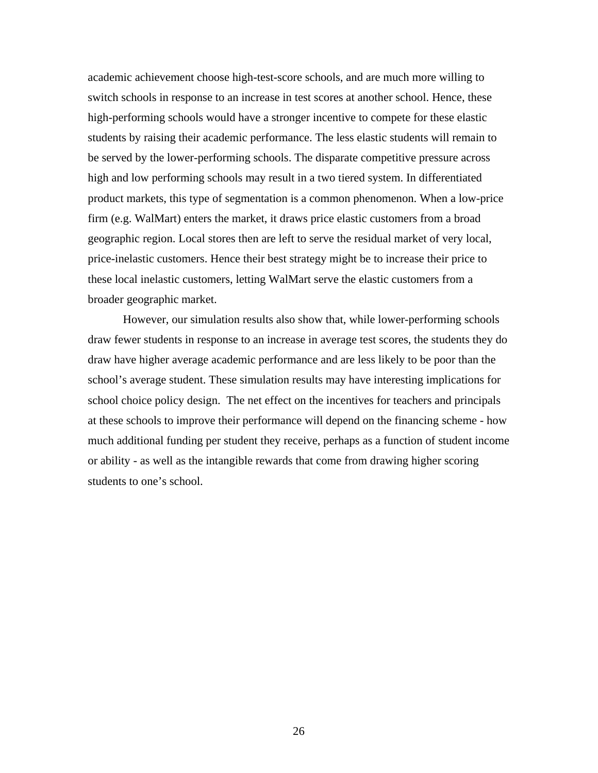academic achievement choose high-test-score schools, and are much more willing to switch schools in response to an increase in test scores at another school. Hence, these high-performing schools would have a stronger incentive to compete for these elastic students by raising their academic performance. The less elastic students will remain to be served by the lower-performing schools. The disparate competitive pressure across high and low performing schools may result in a two tiered system. In differentiated product markets, this type of segmentation is a common phenomenon. When a low-price firm (e.g. WalMart) enters the market, it draws price elastic customers from a broad geographic region. Local stores then are left to serve the residual market of very local, price-inelastic customers. Hence their best strategy might be to increase their price to these local inelastic customers, letting WalMart serve the elastic customers from a broader geographic market.

However, our simulation results also show that, while lower-performing schools draw fewer students in response to an increase in average test scores, the students they do draw have higher average academic performance and are less likely to be poor than the school's average student. These simulation results may have interesting implications for school choice policy design. The net effect on the incentives for teachers and principals at these schools to improve their performance will depend on the financing scheme - how much additional funding per student they receive, perhaps as a function of student income or ability - as well as the intangible rewards that come from drawing higher scoring students to one's school.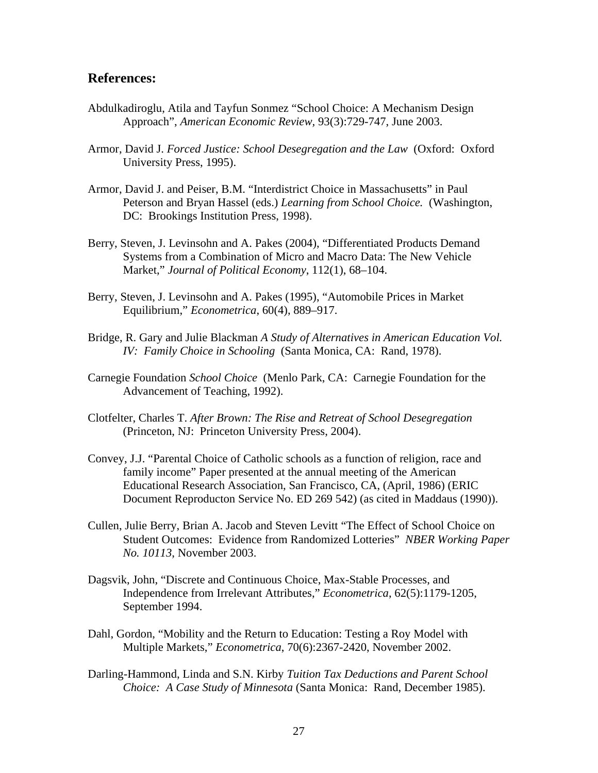## **References:**

- Abdulkadiroglu, Atila and Tayfun Sonmez "School Choice: A Mechanism Design Approach", *American Economic Review,* 93(3):729-747, June 2003.
- Armor, David J. *Forced Justice: School Desegregation and the Law* (Oxford: Oxford University Press, 1995).
- Armor, David J. and Peiser, B.M. "Interdistrict Choice in Massachusetts" in Paul Peterson and Bryan Hassel (eds.) *Learning from School Choice.* (Washington, DC: Brookings Institution Press, 1998).
- Berry, Steven, J. Levinsohn and A. Pakes (2004), "Differentiated Products Demand Systems from a Combination of Micro and Macro Data: The New Vehicle Market," *Journal of Political Economy*, 112(1), 68–104.
- Berry, Steven, J. Levinsohn and A. Pakes (1995), "Automobile Prices in Market Equilibrium," *Econometrica*, 60(4), 889–917.
- Bridge, R. Gary and Julie Blackman *A Study of Alternatives in American Education Vol. IV: Family Choice in Schooling* (Santa Monica, CA: Rand, 1978).
- Carnegie Foundation *School Choice* (Menlo Park, CA: Carnegie Foundation for the Advancement of Teaching, 1992).
- Clotfelter, Charles T. *After Brown: The Rise and Retreat of School Desegregation*  (Princeton, NJ: Princeton University Press, 2004).
- Convey, J.J. "Parental Choice of Catholic schools as a function of religion, race and family income" Paper presented at the annual meeting of the American Educational Research Association, San Francisco, CA, (April, 1986) (ERIC Document Reproducton Service No. ED 269 542) (as cited in Maddaus (1990)).
- Cullen, Julie Berry, Brian A. Jacob and Steven Levitt "The Effect of School Choice on Student Outcomes: Evidence from Randomized Lotteries" *NBER Working Paper No. 10113*, November 2003.
- Dagsvik, John, "Discrete and Continuous Choice, Max-Stable Processes, and Independence from Irrelevant Attributes," *Econometrica*, 62(5):1179-1205, September 1994.
- Dahl, Gordon, "Mobility and the Return to Education: Testing a Roy Model with Multiple Markets," *Econometrica*, 70(6):2367-2420, November 2002.
- Darling-Hammond, Linda and S.N. Kirby *Tuition Tax Deductions and Parent School Choice: A Case Study of Minnesota* (Santa Monica: Rand, December 1985).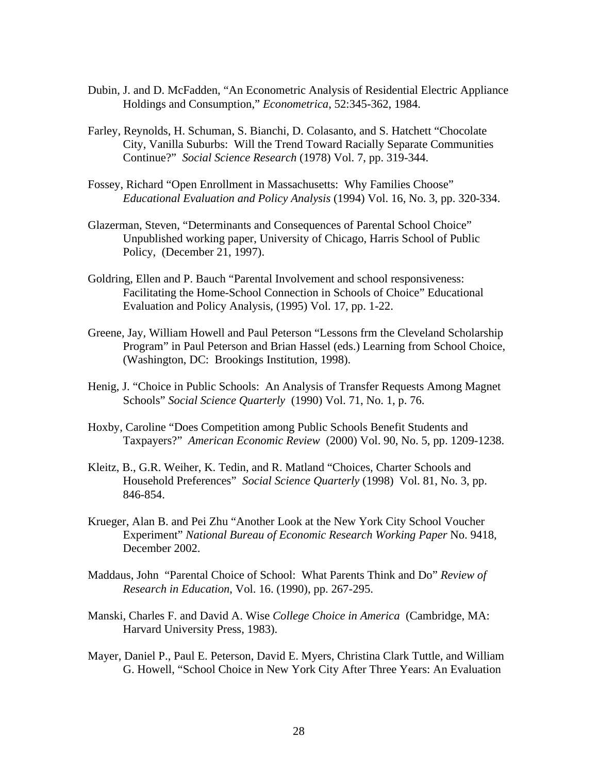- Dubin, J. and D. McFadden, "An Econometric Analysis of Residential Electric Appliance Holdings and Consumption," *Econometrica*, 52:345-362, 1984.
- Farley, Reynolds, H. Schuman, S. Bianchi, D. Colasanto, and S. Hatchett "Chocolate City, Vanilla Suburbs: Will the Trend Toward Racially Separate Communities Continue?" *Social Science Research* (1978) Vol. 7, pp. 319-344.
- Fossey, Richard "Open Enrollment in Massachusetts: Why Families Choose" *Educational Evaluation and Policy Analysis* (1994) Vol. 16, No. 3, pp. 320-334.
- Glazerman, Steven, "Determinants and Consequences of Parental School Choice" Unpublished working paper, University of Chicago, Harris School of Public Policy, (December 21, 1997).
- Goldring, Ellen and P. Bauch "Parental Involvement and school responsiveness: Facilitating the Home-School Connection in Schools of Choice" Educational Evaluation and Policy Analysis, (1995) Vol. 17, pp. 1-22.
- Greene, Jay, William Howell and Paul Peterson "Lessons frm the Cleveland Scholarship Program" in Paul Peterson and Brian Hassel (eds.) Learning from School Choice, (Washington, DC: Brookings Institution, 1998).
- Henig, J. "Choice in Public Schools: An Analysis of Transfer Requests Among Magnet Schools" *Social Science Quarterly* (1990) Vol. 71, No. 1, p. 76.
- Hoxby, Caroline "Does Competition among Public Schools Benefit Students and Taxpayers?" *American Economic Review* (2000) Vol. 90, No. 5, pp. 1209-1238.
- Kleitz, B., G.R. Weiher, K. Tedin, and R. Matland "Choices, Charter Schools and Household Preferences" *Social Science Quarterly* (1998) Vol. 81, No. 3, pp. 846-854.
- Krueger, Alan B. and Pei Zhu "Another Look at the New York City School Voucher Experiment" *National Bureau of Economic Research Working Paper* No. 9418, December 2002.
- Maddaus, John "Parental Choice of School: What Parents Think and Do" *Review of Research in Education*, Vol. 16. (1990), pp. 267-295.
- Manski, Charles F. and David A. Wise *College Choice in America* (Cambridge, MA: Harvard University Press, 1983).
- Mayer, Daniel P., Paul E. Peterson, David E. Myers, Christina Clark Tuttle, and William G. Howell, "School Choice in New York City After Three Years: An Evaluation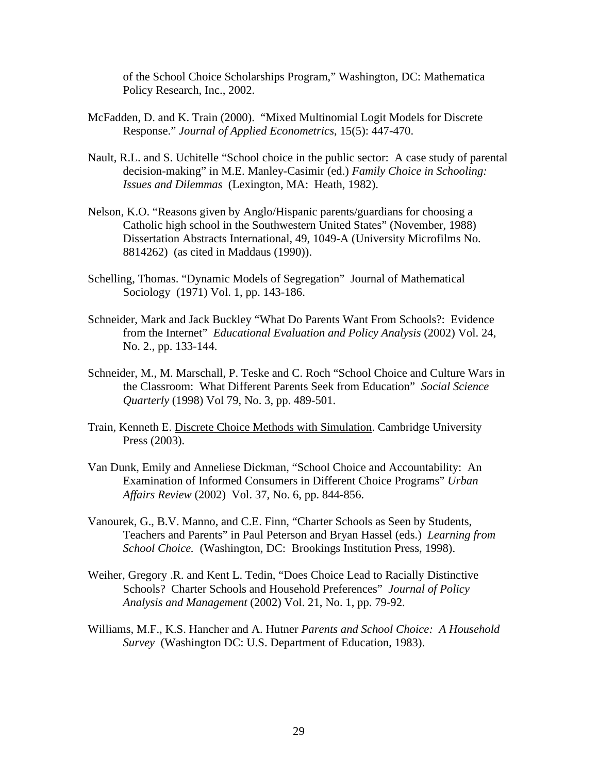of the School Choice Scholarships Program," Washington, DC: Mathematica Policy Research, Inc., 2002.

- McFadden, D. and K. Train (2000). "Mixed Multinomial Logit Models for Discrete Response." *Journal of Applied Econometrics*, 15(5): 447-470.
- Nault, R.L. and S. Uchitelle "School choice in the public sector: A case study of parental decision-making" in M.E. Manley-Casimir (ed.) *Family Choice in Schooling: Issues and Dilemmas* (Lexington, MA: Heath, 1982).
- Nelson, K.O. "Reasons given by Anglo/Hispanic parents/guardians for choosing a Catholic high school in the Southwestern United States" (November, 1988) Dissertation Abstracts International, 49, 1049-A (University Microfilms No. 8814262) (as cited in Maddaus (1990)).
- Schelling, Thomas. "Dynamic Models of Segregation" Journal of Mathematical Sociology (1971) Vol. 1, pp. 143-186.
- Schneider, Mark and Jack Buckley "What Do Parents Want From Schools?: Evidence from the Internet" *Educational Evaluation and Policy Analysis* (2002) Vol. 24, No. 2., pp. 133-144.
- Schneider, M., M. Marschall, P. Teske and C. Roch "School Choice and Culture Wars in the Classroom: What Different Parents Seek from Education" *Social Science Quarterly* (1998) Vol 79, No. 3, pp. 489-501.
- Train, Kenneth E. Discrete Choice Methods with Simulation. Cambridge University Press (2003).
- Van Dunk, Emily and Anneliese Dickman, "School Choice and Accountability: An Examination of Informed Consumers in Different Choice Programs" *Urban Affairs Review* (2002) Vol. 37, No. 6, pp. 844-856.
- Vanourek, G., B.V. Manno, and C.E. Finn, "Charter Schools as Seen by Students, Teachers and Parents" in Paul Peterson and Bryan Hassel (eds.) *Learning from School Choice.* (Washington, DC: Brookings Institution Press, 1998).
- Weiher, Gregory .R. and Kent L. Tedin, "Does Choice Lead to Racially Distinctive Schools? Charter Schools and Household Preferences" *Journal of Policy Analysis and Management* (2002) Vol. 21, No. 1, pp. 79-92.
- Williams, M.F., K.S. Hancher and A. Hutner *Parents and School Choice: A Household Survey* (Washington DC: U.S. Department of Education, 1983).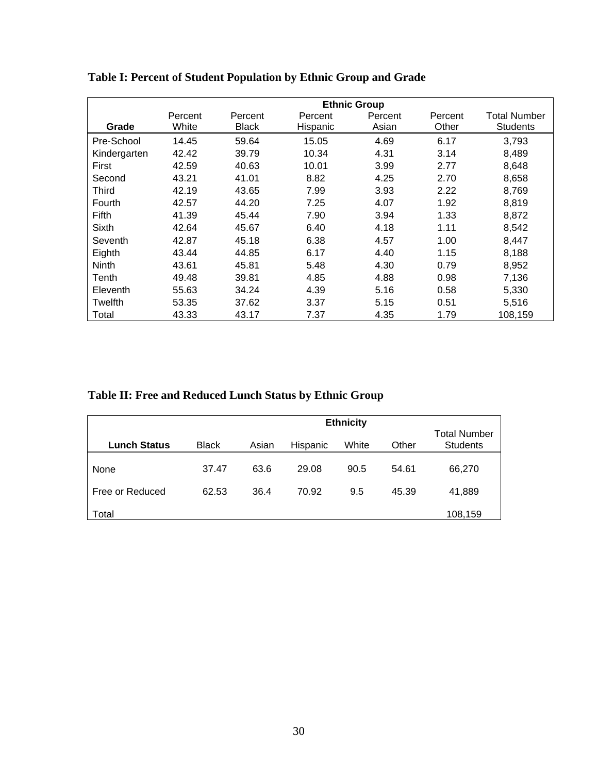|              | <b>Ethnic Group</b> |              |          |         |         |                     |
|--------------|---------------------|--------------|----------|---------|---------|---------------------|
|              | Percent             | Percent      | Percent  | Percent | Percent | <b>Total Number</b> |
| Grade        | White               | <b>Black</b> | Hispanic | Asian   | Other   | <b>Students</b>     |
| Pre-School   | 14.45               | 59.64        | 15.05    | 4.69    | 6.17    | 3,793               |
| Kindergarten | 42.42               | 39.79        | 10.34    | 4.31    | 3.14    | 8,489               |
| First        | 42.59               | 40.63        | 10.01    | 3.99    | 2.77    | 8,648               |
| Second       | 43.21               | 41.01        | 8.82     | 4.25    | 2.70    | 8,658               |
| Third        | 42.19               | 43.65        | 7.99     | 3.93    | 2.22    | 8,769               |
| Fourth       | 42.57               | 44.20        | 7.25     | 4.07    | 1.92    | 8,819               |
| Fifth        | 41.39               | 45.44        | 7.90     | 3.94    | 1.33    | 8,872               |
| Sixth        | 42.64               | 45.67        | 6.40     | 4.18    | 1.11    | 8,542               |
| Seventh      | 42.87               | 45.18        | 6.38     | 4.57    | 1.00    | 8,447               |
| Eighth       | 43.44               | 44.85        | 6.17     | 4.40    | 1.15    | 8,188               |
| <b>Ninth</b> | 43.61               | 45.81        | 5.48     | 4.30    | 0.79    | 8,952               |
| Tenth        | 49.48               | 39.81        | 4.85     | 4.88    | 0.98    | 7,136               |
| Eleventh     | 55.63               | 34.24        | 4.39     | 5.16    | 0.58    | 5,330               |
| Twelfth      | 53.35               | 37.62        | 3.37     | 5.15    | 0.51    | 5,516               |
| Total        | 43.33               | 43.17        | 7.37     | 4.35    | 1.79    | 108,159             |

**Table I: Percent of Student Population by Ethnic Group and Grade**

**Table II: Free and Reduced Lunch Status by Ethnic Group**

|                     |              | <b>Ethnicity</b> |          |       |       |                                        |  |
|---------------------|--------------|------------------|----------|-------|-------|----------------------------------------|--|
| <b>Lunch Status</b> | <b>Black</b> | Asian            | Hispanic | White | Other | <b>Total Number</b><br><b>Students</b> |  |
| None                | 37.47        | 63.6             | 29.08    | 90.5  | 54.61 | 66,270                                 |  |
| Free or Reduced     | 62.53        | 36.4             | 70.92    | 9.5   | 45.39 | 41,889                                 |  |
| Total               |              |                  |          |       |       | 108,159                                |  |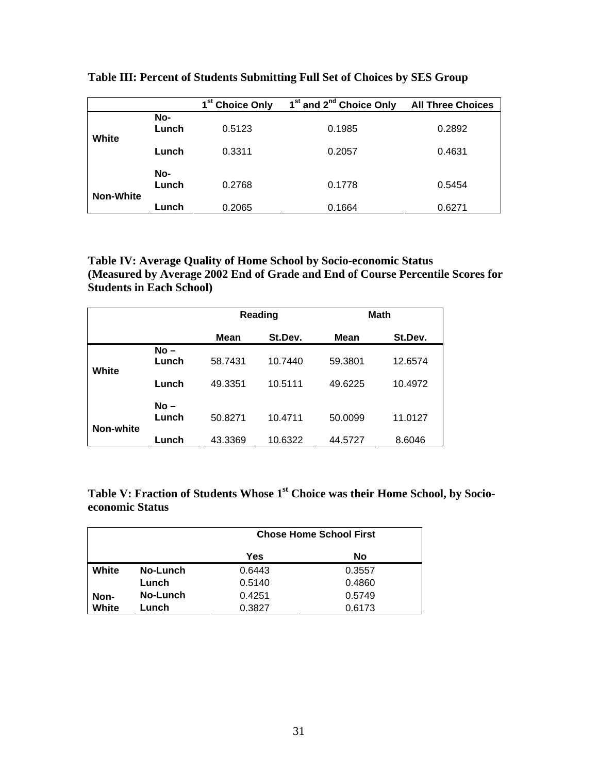|                  |              | 1 <sup>st</sup> Choice Only | 1 <sup>st</sup> and 2 <sup>nd</sup> Choice Only | <b>All Three Choices</b> |
|------------------|--------------|-----------------------------|-------------------------------------------------|--------------------------|
| White            | No-<br>Lunch | 0.5123                      | 0.1985                                          | 0.2892                   |
|                  | Lunch        | 0.3311                      | 0.2057                                          | 0.4631                   |
| <b>Non-White</b> | No-<br>Lunch | 0.2768                      | 0.1778                                          | 0.5454                   |
|                  | Lunch        | 0.2065                      | 0.1664                                          | 0.6271                   |

**Table III: Percent of Students Submitting Full Set of Choices by SES Group**

**Table IV: Average Quality of Home School by Socio-economic Status (Measured by Average 2002 End of Grade and End of Course Percentile Scores for Students in Each School)**

|           |                          | Reading            |                    | <b>Math</b>        |                    |  |
|-----------|--------------------------|--------------------|--------------------|--------------------|--------------------|--|
|           |                          | St.Dev.<br>Mean    |                    | Mean               | St.Dev.            |  |
| White     | $No -$<br>Lunch          | 58.7431            | 10.7440            | 59.3801            | 12.6574            |  |
|           | Lunch<br>$No -$<br>Lunch | 49.3351<br>50.8271 | 10.5111<br>10.4711 | 49.6225<br>50.0099 | 10.4972<br>11.0127 |  |
| Non-white | Lunch                    | 43.3369            | 10.6322            | 44.5727            | 8.6046             |  |

**Table V: Fraction of Students Whose 1st Choice was their Home School, by Socioeconomic Status**

|       |          | <b>Chose Home School First</b> |        |  |  |  |
|-------|----------|--------------------------------|--------|--|--|--|
|       |          | Yes<br>No                      |        |  |  |  |
| White | No-Lunch | 0.6443<br>0.3557               |        |  |  |  |
|       | Lunch    | 0.5140                         | 0.4860 |  |  |  |
| Non-  | No-Lunch | 0.4251                         | 0.5749 |  |  |  |
| White | Lunch    | 0.3827                         | 0.6173 |  |  |  |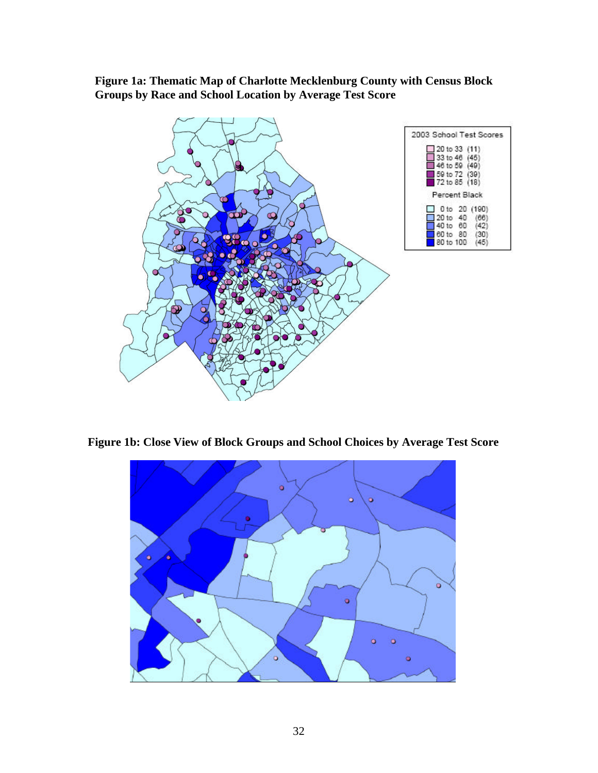**Figure 1a: Thematic Map of Charlotte Mecklenburg County with Census Block Groups by Race and School Location by Average Test Score**



**Figure 1b: Close View of Block Groups and School Choices by Average Test Score**

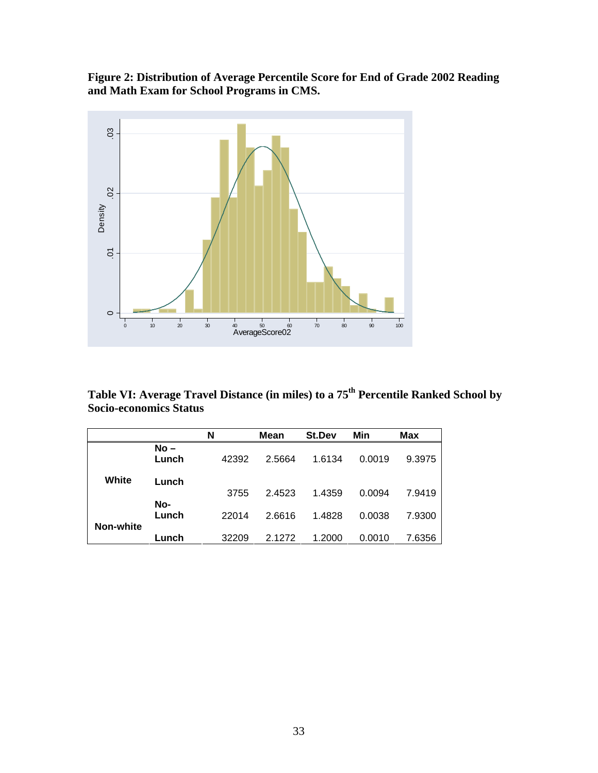**Figure 2: Distribution of Average Percentile Score for End of Grade 2002 Reading and Math Exam for School Programs in CMS.**



**Table VI: Average Travel Distance (in miles) to a 75th Percentile Ranked School by Socio-economics Status**

|           |                 | N     | Mean   | St.Dev | Min    | Max    |
|-----------|-----------------|-------|--------|--------|--------|--------|
|           | $No -$<br>Lunch | 42392 | 2.5664 | 1.6134 | 0.0019 | 9.3975 |
| White     | Lunch           | 3755  | 2.4523 | 1.4359 | 0.0094 | 7.9419 |
| Non-white | No-<br>Lunch    | 22014 | 2.6616 | 1.4828 | 0.0038 | 7.9300 |
|           | Lunch           | 32209 | 2.1272 | 1.2000 | 0.0010 | 7.6356 |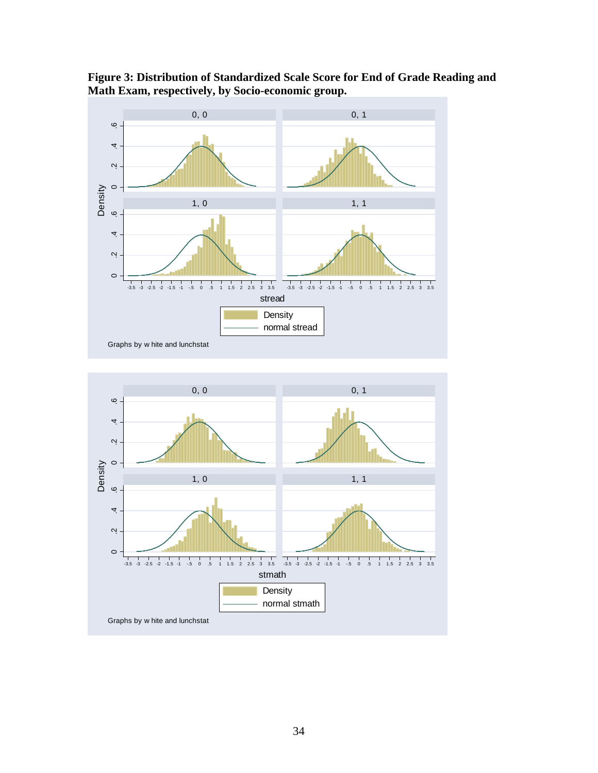

**Figure 3: Distribution of Standardized Scale Score for End of Grade Reading and Math Exam, respectively, by Socio-economic group.**

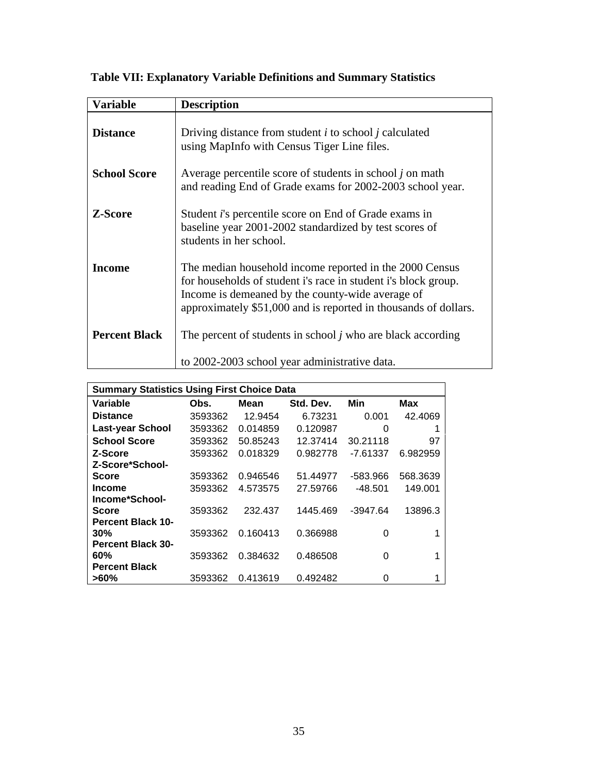| <b>Variable</b>      | <b>Description</b>                                                                                                                                                                                                                               |
|----------------------|--------------------------------------------------------------------------------------------------------------------------------------------------------------------------------------------------------------------------------------------------|
| <b>Distance</b>      | Driving distance from student $i$ to school $j$ calculated<br>using MapInfo with Census Tiger Line files.                                                                                                                                        |
| <b>School Score</b>  | Average percentile score of students in school $j$ on math<br>and reading End of Grade exams for 2002-2003 school year.                                                                                                                          |
| <b>Z-Score</b>       | Student <i>i</i> 's percentile score on End of Grade exams in<br>baseline year 2001-2002 standardized by test scores of<br>students in her school.                                                                                               |
| <b>Income</b>        | The median household income reported in the 2000 Census<br>for households of student i's race in student i's block group.<br>Income is demeaned by the county-wide average of<br>approximately \$51,000 and is reported in thousands of dollars. |
| <b>Percent Black</b> | The percent of students in school <i>j</i> who are black according<br>to 2002-2003 school year administrative data.                                                                                                                              |

 **Table VII: Explanatory Variable Definitions and Summary Statistics**

| <b>Summary Statistics Using First Choice Data</b> |         |          |           |            |          |  |  |
|---------------------------------------------------|---------|----------|-----------|------------|----------|--|--|
| Variable                                          | Obs.    | Mean     | Std. Dev. | Min        | Max      |  |  |
| <b>Distance</b>                                   | 3593362 | 12.9454  | 6.73231   | 0.001      | 42.4069  |  |  |
| <b>Last-year School</b>                           | 3593362 | 0.014859 | 0.120987  | 0          | 1        |  |  |
| <b>School Score</b>                               | 3593362 | 50.85243 | 12.37414  | 30.21118   | 97       |  |  |
| Z-Score                                           | 3593362 | 0.018329 | 0.982778  | $-7.61337$ | 6.982959 |  |  |
| Z-Score*School-                                   |         |          |           |            |          |  |  |
| Score                                             | 3593362 | 0.946546 | 51.44977  | -583.966   | 568.3639 |  |  |
| <b>Income</b>                                     | 3593362 | 4.573575 | 27.59766  | -48.501    | 149.001  |  |  |
| Income*School-                                    |         |          |           |            |          |  |  |
| <b>Score</b>                                      | 3593362 | 232.437  | 1445.469  | $-3947.64$ | 13896.3  |  |  |
| <b>Percent Black 10-</b>                          |         |          |           |            |          |  |  |
| 30%                                               | 3593362 | 0.160413 | 0.366988  | 0          |          |  |  |
| <b>Percent Black 30-</b>                          |         |          |           |            |          |  |  |
| 60%                                               | 3593362 | 0.384632 | 0.486508  | 0          | 1        |  |  |
| <b>Percent Black</b>                              |         |          |           |            |          |  |  |
| $>60\%$                                           | 3593362 | 0.413619 | 0.492482  | 0          |          |  |  |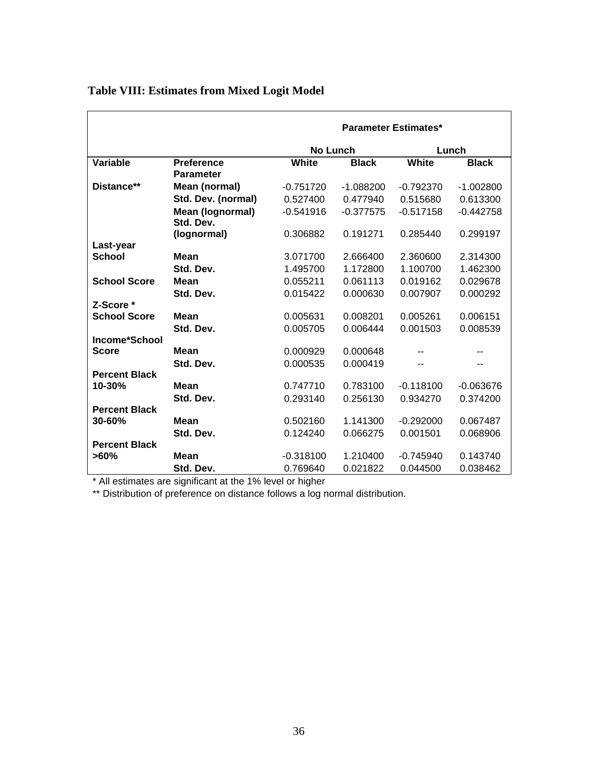|                      |                    | <b>Parameter Estimates*</b> |              |             |              |  |
|----------------------|--------------------|-----------------------------|--------------|-------------|--------------|--|
|                      |                    | No Lunch                    |              |             | Lunch        |  |
| <b>Variable</b>      | <b>Preference</b>  | White                       | <b>Black</b> | White       | <b>Black</b> |  |
|                      | <b>Parameter</b>   |                             |              |             |              |  |
| Distance**           | Mean (normal)      | $-0.751720$                 | $-1.088200$  | $-0.792370$ | $-1.002800$  |  |
|                      | Std. Dev. (normal) | 0.527400                    | 0.477940     | 0.515680    | 0.613300     |  |
|                      | Mean (lognormal)   | $-0.541916$                 | $-0.377575$  | $-0.517158$ | $-0.442758$  |  |
|                      | Std. Dev.          |                             |              |             |              |  |
|                      | (lognormal)        | 0.306882                    | 0.191271     | 0.285440    | 0.299197     |  |
| Last-year            |                    |                             |              |             |              |  |
| <b>School</b>        | <b>Mean</b>        | 3.071700                    | 2.666400     | 2.360600    | 2.314300     |  |
|                      | Std. Dev.          | 1.495700                    | 1.172800     | 1.100700    | 1.462300     |  |
| <b>School Score</b>  | Mean               | 0.055211                    | 0.061113     | 0.019162    | 0.029678     |  |
|                      | Std. Dev.          | 0.015422                    | 0.000630     | 0.007907    | 0.000292     |  |
| Z-Score *            |                    |                             |              |             |              |  |
| <b>School Score</b>  | Mean               | 0.005631                    | 0.008201     | 0.005261    | 0.006151     |  |
|                      | Std. Dev.          | 0.005705                    | 0.006444     | 0.001503    | 0.008539     |  |
| Income*School        |                    |                             |              |             |              |  |
| <b>Score</b>         | Mean               | 0.000929                    | 0.000648     |             |              |  |
|                      | Std. Dev.          | 0.000535                    | 0.000419     |             | --           |  |
| <b>Percent Black</b> |                    |                             |              |             |              |  |
| 10-30%               | <b>Mean</b>        | 0.747710                    | 0.783100     | $-0.118100$ | $-0.063676$  |  |
|                      | Std. Dev.          | 0.293140                    | 0.256130     | 0.934270    | 0.374200     |  |
| <b>Percent Black</b> | Mean               |                             |              |             |              |  |
| $30 - 60%$           |                    | 0.502160                    | 1.141300     | $-0.292000$ | 0.067487     |  |
| <b>Percent Black</b> | Std. Dev.          | 0.124240                    | 0.066275     | 0.001501    | 0.068906     |  |
| $>60\%$              | <b>Mean</b>        | $-0.318100$                 | 1.210400     | $-0.745940$ | 0.143740     |  |
|                      |                    |                             |              |             |              |  |
|                      | Std. Dev.          | 0.769640                    | 0.021822     | 0.044500    | 0.038462     |  |

# **Table VIII: Estimates from Mixed Logit Model**

\* All estimates are significant at the 1% level or higher

\*\* Distribution of preference on distance follows a log normal distribution.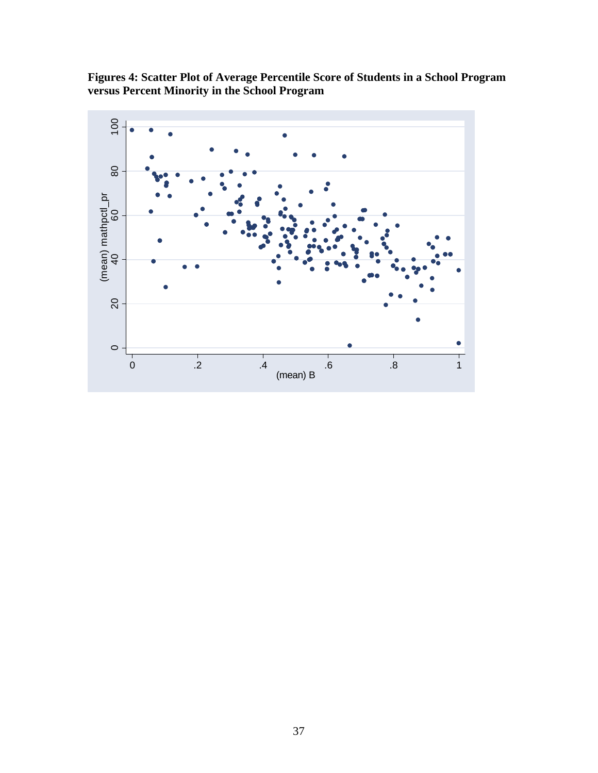**Figures 4: Scatter Plot of Average Percentile Score of Students in a School Program versus Percent Minority in the School Program**

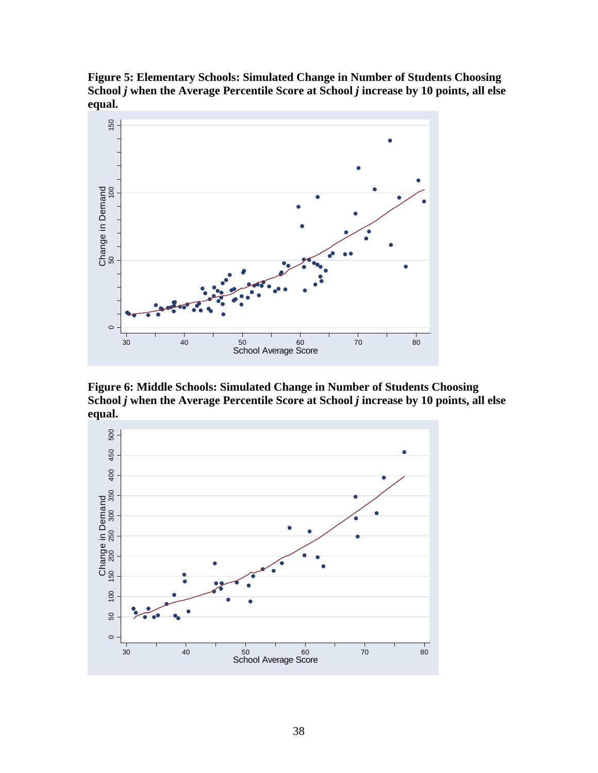**Figure 5: Elementary Schools: Simulated Change in Number of Students Choosing School** *j* **when the Average Percentile Score at School** *j* **increase by 10 points, all else equal.**



**Figure 6: Middle Schools: Simulated Change in Number of Students Choosing School** *j* **when the Average Percentile Score at School** *j* **increase by 10 points, all else equal.**